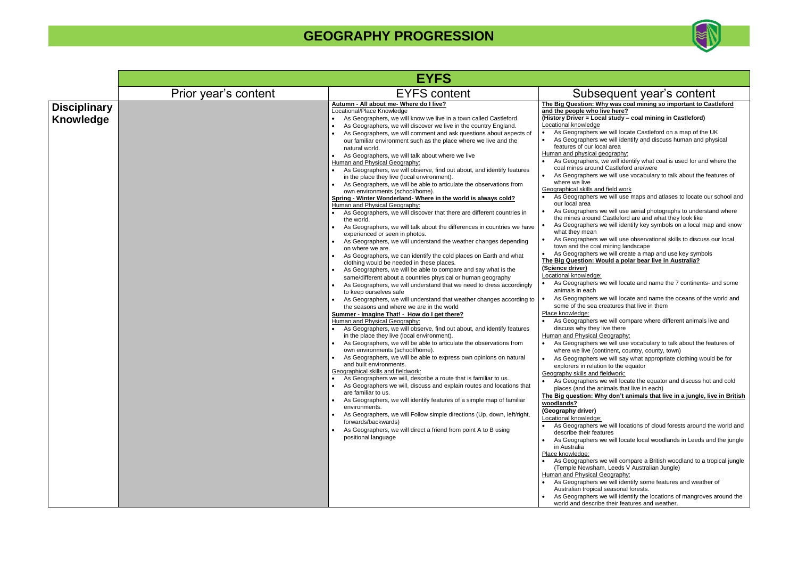**The Big Question: Why was coal mining so important to Castleford live here?** 

### **(A)**  $\frac{1}{2}$  al study – coal mining in Castleford)

we will locate Castleford on a map of the UK we will identify and discuss human and physical cal area

we will identify what coal is used for and where the d Castleford are/were

we will use vocabulary to talk about the features of

d field work we will use maps and atlases to locate our school and

we will use aerial photographs to understand where I Castleford are and what they look like we will identify key symbols on a local map and know

we will use observational skills to discuss our local I mining landscape

we will locate and name the 7 continents- and some

we will locate and name the oceans of the world and creatures that live in them

we will compare where different animals live and live there

we will use vocabulary to talk about the features of where we country, county, town)

we will say what appropriate clothing would be for on to the equator

we will locate the equator and discuss hot and cold inimals that live in each)

|                                         |                      | <b>EYFS</b>                                                                                                                                                                                                                                                                                                                                                                                                                                                                                                                                                                                                                                                                                                                                                                                                                                                                                                                                                                                                                                                                                                                                                                                                                                                                                                                                                                                                                                                                                                                                                                                                                                                                                                                                                                                                                                                                                                                                                                                                                                                                                                                                                                                                                                                                                                                                                                                                                                                                                                     |                                                                                                                                                                                                                                                                                                                                                                                                                                                                                                                                                                                                                                                                                                                                                                                                                                                                                                                                                                                                                                                                                                                                                                                                                                                                                                                                                                                                                                                                                                                                                                                                                                                                                                                                                                                                                                                                                                                                                                                                                                                                                                                                                                                                                                                                                                                                                                                                                                                                                                                                                                                                                                                                                 |
|-----------------------------------------|----------------------|-----------------------------------------------------------------------------------------------------------------------------------------------------------------------------------------------------------------------------------------------------------------------------------------------------------------------------------------------------------------------------------------------------------------------------------------------------------------------------------------------------------------------------------------------------------------------------------------------------------------------------------------------------------------------------------------------------------------------------------------------------------------------------------------------------------------------------------------------------------------------------------------------------------------------------------------------------------------------------------------------------------------------------------------------------------------------------------------------------------------------------------------------------------------------------------------------------------------------------------------------------------------------------------------------------------------------------------------------------------------------------------------------------------------------------------------------------------------------------------------------------------------------------------------------------------------------------------------------------------------------------------------------------------------------------------------------------------------------------------------------------------------------------------------------------------------------------------------------------------------------------------------------------------------------------------------------------------------------------------------------------------------------------------------------------------------------------------------------------------------------------------------------------------------------------------------------------------------------------------------------------------------------------------------------------------------------------------------------------------------------------------------------------------------------------------------------------------------------------------------------------------------|---------------------------------------------------------------------------------------------------------------------------------------------------------------------------------------------------------------------------------------------------------------------------------------------------------------------------------------------------------------------------------------------------------------------------------------------------------------------------------------------------------------------------------------------------------------------------------------------------------------------------------------------------------------------------------------------------------------------------------------------------------------------------------------------------------------------------------------------------------------------------------------------------------------------------------------------------------------------------------------------------------------------------------------------------------------------------------------------------------------------------------------------------------------------------------------------------------------------------------------------------------------------------------------------------------------------------------------------------------------------------------------------------------------------------------------------------------------------------------------------------------------------------------------------------------------------------------------------------------------------------------------------------------------------------------------------------------------------------------------------------------------------------------------------------------------------------------------------------------------------------------------------------------------------------------------------------------------------------------------------------------------------------------------------------------------------------------------------------------------------------------------------------------------------------------------------------------------------------------------------------------------------------------------------------------------------------------------------------------------------------------------------------------------------------------------------------------------------------------------------------------------------------------------------------------------------------------------------------------------------------------------------------------------------------------|
|                                         | Prior year's content | <b>EYFS content</b>                                                                                                                                                                                                                                                                                                                                                                                                                                                                                                                                                                                                                                                                                                                                                                                                                                                                                                                                                                                                                                                                                                                                                                                                                                                                                                                                                                                                                                                                                                                                                                                                                                                                                                                                                                                                                                                                                                                                                                                                                                                                                                                                                                                                                                                                                                                                                                                                                                                                                             | Subsequent year's content                                                                                                                                                                                                                                                                                                                                                                                                                                                                                                                                                                                                                                                                                                                                                                                                                                                                                                                                                                                                                                                                                                                                                                                                                                                                                                                                                                                                                                                                                                                                                                                                                                                                                                                                                                                                                                                                                                                                                                                                                                                                                                                                                                                                                                                                                                                                                                                                                                                                                                                                                                                                                                                       |
| <b>Disciplinary</b><br><b>Knowledge</b> |                      | Autumn - All about me- Where do I live?<br>Locational/Place Knowledge<br>As Geographers, we will know we live in a town called Castleford.<br>As Geographers, we will discover we live in the country England.<br>As Geographers, we will comment and ask questions about aspects of<br>our familiar environment such as the place where we live and the<br>natural world.<br>As Geographers, we will talk about where we live<br>Human and Physical Geography:<br>As Geographers, we will observe, find out about, and identify features<br>in the place they live (local environment).<br>As Geographers, we will be able to articulate the observations from<br>own environments (school/home).<br>Spring - Winter Wonderland- Where in the world is always cold?<br>Human and Physical Geography:<br>As Geographers, we will discover that there are different countries in<br>the world.<br>As Geographers, we will talk about the differences in countries we have<br>experienced or seen in photos.<br>As Geographers, we will understand the weather changes depending<br>on where we are.<br>As Geographers, we can identify the cold places on Earth and what<br>clothing would be needed in these places.<br>As Geographers, we will be able to compare and say what is the<br>same/different about a countries physical or human geography<br>As Geographers, we will understand that we need to dress accordingly<br>to keep ourselves safe<br>As Geographers, we will understand that weather changes according to<br>the seasons and where we are in the world<br>Summer - Imagine That! - How do I get there?<br>Human and Physical Geography:<br>As Geographers, we will observe, find out about, and identify features<br>in the place they live (local environment).<br>As Geographers, we will be able to articulate the observations from<br>own environments (school/home).<br>As Geographers, we will be able to express own opinions on natural<br>and built environments.<br>Geographical skills and fieldwork:<br>As Geographers we will, describe a route that is familiar to us.<br>As Geographers we will, discuss and explain routes and locations that<br>are familiar to us.<br>As Geographers, we will identify features of a simple map of familiar<br>environments.<br>As Geographers, we will Follow simple directions (Up, down, left/right,<br>$\bullet$<br>forwards/backwards)<br>As Geographers, we will direct a friend from point A to B using<br>positional language | The Biq Question: Why was coal mining so important to Cas<br>and the people who live here?<br>(History Driver = Local study - coal mining in Castleford)<br><b>Locational knowledge</b><br>As Geographers we will locate Castleford on a map of the U<br>As Geographers we will identify and discuss human and phy<br>$\bullet$<br>features of our local area<br>Human and physical geography:<br>As Geographers, we will identify what coal is used for and w<br>coal mines around Castleford are/were<br>As Geographers we will use vocabulary to talk about the fea<br>where we live<br>Geographical skills and field work<br>As Geographers we will use maps and atlases to locate our<br>our local area<br>As Geographers we will use aerial photographs to understar<br>the mines around Castleford are and what they look like<br>As Geographers we will identify key symbols on a local map<br>what they mean<br>As Geographers we will use observational skills to discuss o<br>town and the coal mining landscape<br>As Geographers we will create a map and use key symbols<br>$\bullet$<br>The Big Question: Would a polar bear live in Australia?<br>(Science driver)<br>Locational knowledge:<br>As Geographers we will locate and name the 7 continents- a<br>animals in each<br>As Geographers we will locate and name the oceans of the v<br>some of the sea creatures that live in them<br>Place knowledge:<br>As Geographers we will compare where different animals live<br>$\bullet$<br>discuss why they live there<br>Human and Physical Geography:<br>As Geographers we will use vocabulary to talk about the fea<br>where we live (continent, country, county, town)<br>As Geographers we will say what appropriate clothing would<br>explorers in relation to the equator<br>Geography skills and fieldwork:<br>As Geographers we will locate the equator and discuss hot a<br>$\bullet$<br>places (and the animals that live in each)<br>The Big question: Why don't animals that live in a jungle, live<br>woodlands?<br>(Geography driver)<br>Locational knowledge:<br>As Geographers we will locations of cloud forests around the<br>describe their features<br>As Geographers we will locate local woodlands in Leeds and<br>in Australia<br>Place knowledge:<br>As Geographers we will compare a British woodland to a tro<br>$\bullet$<br>(Temple Newsham, Leeds V Australian Jungle)<br>Human and Physical Geography:<br>As Geographers we will identify some features and weather<br>Australian tropical seasonal forests.<br>As Geographers we will identify the locations of mangroves a<br>world and describe their features and weather. |



**The Big question: Why don't animals that live in a jungle, live in British** 

we will locations of cloud forests around the world and itures

we will locate local woodlands in Leeds and the jungle

we will compare a British woodland to a tropical jungle m, Leeds V Australian Jungle)

we will identify some features and weather of I seasonal forests.

we will identify the locations of mangroves around the be their features and weather.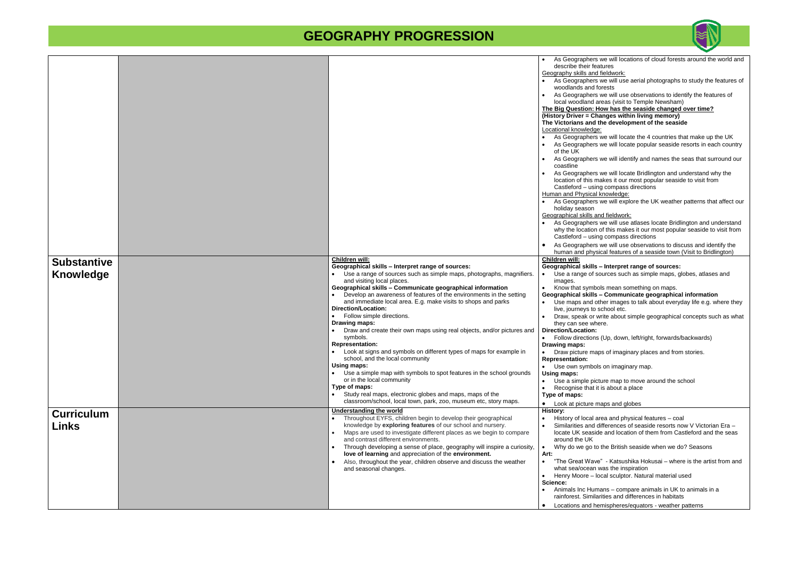|                                   |                                                                                                                                                                                                                                                                                                                                                                                                                                                                                                                                                                                                                                                                                                                                                                                                                                                                                                                            | As Geographers w<br>describe their feat<br>Geography skills and fi<br>As Geographers w<br>woodlands and for<br>As Geographers w<br>local woodland are<br><b>The Big Question: Ho</b><br>(History Driver = Char<br>The Victorians and th<br>Locational knowledge:<br>As Geographers w<br>As Geographers w<br>of the UK<br>As Geographers w<br>coastline<br>As Geographers w<br>location of this mal<br>Castleford - using<br>Human and Physical kr<br>As Geographers w<br>holiday season<br>Geographical skills and<br>As Geographers w<br>why the location of<br>Castleford - using<br>As Geographers w<br>human and physic |
|-----------------------------------|----------------------------------------------------------------------------------------------------------------------------------------------------------------------------------------------------------------------------------------------------------------------------------------------------------------------------------------------------------------------------------------------------------------------------------------------------------------------------------------------------------------------------------------------------------------------------------------------------------------------------------------------------------------------------------------------------------------------------------------------------------------------------------------------------------------------------------------------------------------------------------------------------------------------------|-----------------------------------------------------------------------------------------------------------------------------------------------------------------------------------------------------------------------------------------------------------------------------------------------------------------------------------------------------------------------------------------------------------------------------------------------------------------------------------------------------------------------------------------------------------------------------------------------------------------------------|
| <b>Substantive</b>                | Children will:<br>Geographical skills - Interpret range of sources:                                                                                                                                                                                                                                                                                                                                                                                                                                                                                                                                                                                                                                                                                                                                                                                                                                                        | Children will:<br>Geographical skills -                                                                                                                                                                                                                                                                                                                                                                                                                                                                                                                                                                                     |
| Knowledge                         | Use a range of sources such as simple maps, photographs, magnifiers.<br>and visiting local places.<br>Geographical skills - Communicate geographical information<br>Develop an awareness of features of the environments in the setting<br>and immediate local area. E.g. make visits to shops and parks<br><b>Direction/Location:</b><br>Follow simple directions.<br>$\bullet$<br>Drawing maps:<br>Draw and create their own maps using real objects, and/or pictures and<br>symbols.<br><b>Representation:</b><br>Look at signs and symbols on different types of maps for example in<br>$\bullet$<br>school, and the local community<br>Using maps:<br>Use a simple map with symbols to spot features in the school grounds<br>or in the local community<br>Type of maps:<br>Study real maps, electronic globes and maps, maps of the<br>$\bullet$<br>classroom/school, local town, park, zoo, museum etc, story maps. | Use a range of sor<br>images.<br>Know that symbols<br>Geographical skills -<br>Use maps and oth<br>live, journeys to sc<br>Draw, speak or wri<br>they can see wher<br><b>Direction/Location:</b><br>Follow directions (<br>Drawing maps:<br>Draw picture maps<br><b>Representation:</b><br>Use own symbols<br>Using maps:<br>Use a simple pictu<br>$\bullet$<br>Recognise that it is<br>Type of maps:<br>Look at picture ma<br>$\bullet$                                                                                                                                                                                    |
| <b>Curriculum</b><br><b>Links</b> | <b>Understanding the world</b><br>Throughout EYFS, children begin to develop their geographical<br>knowledge by exploring features of our school and nursery.<br>Maps are used to investigate different places as we begin to compare<br>$\bullet$<br>and contrast different environments.<br>Through developing a sense of place, geography will inspire a curiosity,<br>$\bullet$<br>love of learning and appreciation of the environment.<br>Also, throughout the year, children observe and discuss the weather<br>and seasonal changes.                                                                                                                                                                                                                                                                                                                                                                               | <b>History:</b><br>History of local are<br>Similarities and dif<br>locate UK seaside<br>around the UK<br>Why do we go to tl<br>Art:<br>"The Great Wave"<br>what sea/ocean wa<br>Henry Moore - loc<br>$\bullet$<br>Science:                                                                                                                                                                                                                                                                                                                                                                                                  |
|                                   |                                                                                                                                                                                                                                                                                                                                                                                                                                                                                                                                                                                                                                                                                                                                                                                                                                                                                                                            | Animals Inc Huma<br>rainforest. Similarit<br>Locations and hem<br>$\bullet$                                                                                                                                                                                                                                                                                                                                                                                                                                                                                                                                                 |



we will locations of cloud forests around the world and atures I fieldwork: • As Geographers we will use aerial photographs to st udy the features of forests we will use observations to identify the features of areas (visit to Temple Newsham) **The Big Allen Big Allen Starfs Apple Starfs Apple 2 (anges within living memory)** the development of the seaside we will locate the 4 countries that make up the UK we will locate popular seaside resorts in each country we will identify and names the seas that surround our we will locate Bridlington and understand why the hakes it our most popular seaside to visit from ng compass directions knowledge: we will explore the UK weather patterns that affect our Ind fieldwork: we will use atlases locate Bridlington and understand of this makes it our most popular seaside to visit from ng compass directions we will use observations to discuss and identify the sical features of a seaside town (Visit to Bridlington) **– Interpret range of sources:** sources such as simple maps, globes, atlases and ols mean something on maps. **– Communicate geographical information** ther images to talk about everyday life e.g. where they school etc. write about simple geographical concepts such as what ere.  $s$  (Up, down, left/right, forwards/backwards) ps of imaginary places and from stories. Is on imaginary map. ture map to move around the school is about a place naps and globes • History of local area and physical features – coal • Similarities and differences of seaside resorts now V Victorian Era – de and location of them from Castleford and the seas the British seaside when we do? Seasons - Katsushika Hokusai – where is the artist from and was the inspiration ocal sculptor. Natural material used • Animals Inc Humans – compare animals in UK to animals in a arities and differences in habitats • Locations and hemispheres/equators - weather patterns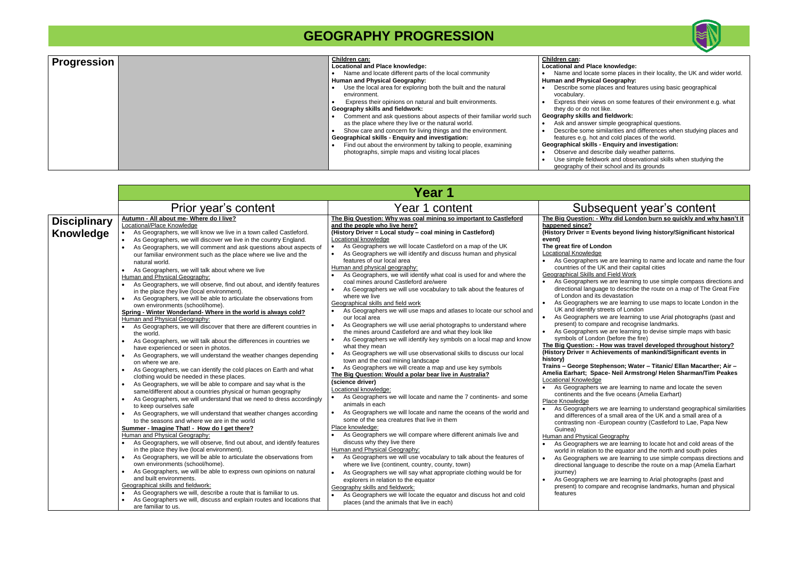| <b>Progression</b> | Children can:                                                        | Children can:                |
|--------------------|----------------------------------------------------------------------|------------------------------|
|                    | Locational and Place knowledge:                                      | <b>Locational and Place</b>  |
|                    | Name and locate different parts of the local community               | Name and locate              |
|                    | <b>Human and Physical Geography:</b>                                 | <b>Human and Physical</b>    |
|                    | Use the local area for exploring both the built and the natural      | Describe some pla            |
|                    | environment.                                                         | vocabulary.                  |
|                    | Express their opinions on natural and built environments.            | Express their view           |
|                    | Geography skills and fieldwork:                                      | they do or do not I          |
|                    | Comment and ask questions about aspects of their familiar world such | Geography skills and         |
|                    | as the place where they live or the natural world.                   | Ask and answer si            |
|                    | Show care and concern for living things and the environment.         | Describe some sir            |
|                    | <b>Geographical skills - Enquiry and investigation:</b>              | features e.g. hot a          |
|                    | Find out about the environment by talking to people, examining       | <b>Geographical skills -</b> |
|                    | photographs, simple maps and visiting local places                   | Observe and desc             |
|                    |                                                                      | Use simple fieldwo           |
|                    |                                                                      | geography of their           |

|                                  |                                                                                                                                                                                                                                                                                                                                                                                                                                                                                                                                                                                                                                                                                                                                                                                                                                                                                                                                                                                                                                                                                                                                                                                                                                                                                                                                                                                                                                                                                                                                                                                                                                                                                                                                                                                                                                                                                                                                                                                                                                                                                                                                                                                                                                                        | Year 1                                                                                                                                                                                                                                                                                                                                                                                                                                                                                                                                                                                                                                                                                                                                                                                                                                                                                                                                                                                                                                                                                                                                                                                                                                                                                                                                                                                                                                                                                                                                                                                                                                                                                                                                                                                                                                                                                                                                                                                                                                                                                                                                                                                 |                                                                                                                                                                                                                                                                                                                                                                                                                                                                                                                                                                                                                                                                                                                                                                                                                                                                              |
|----------------------------------|--------------------------------------------------------------------------------------------------------------------------------------------------------------------------------------------------------------------------------------------------------------------------------------------------------------------------------------------------------------------------------------------------------------------------------------------------------------------------------------------------------------------------------------------------------------------------------------------------------------------------------------------------------------------------------------------------------------------------------------------------------------------------------------------------------------------------------------------------------------------------------------------------------------------------------------------------------------------------------------------------------------------------------------------------------------------------------------------------------------------------------------------------------------------------------------------------------------------------------------------------------------------------------------------------------------------------------------------------------------------------------------------------------------------------------------------------------------------------------------------------------------------------------------------------------------------------------------------------------------------------------------------------------------------------------------------------------------------------------------------------------------------------------------------------------------------------------------------------------------------------------------------------------------------------------------------------------------------------------------------------------------------------------------------------------------------------------------------------------------------------------------------------------------------------------------------------------------------------------------------------------|----------------------------------------------------------------------------------------------------------------------------------------------------------------------------------------------------------------------------------------------------------------------------------------------------------------------------------------------------------------------------------------------------------------------------------------------------------------------------------------------------------------------------------------------------------------------------------------------------------------------------------------------------------------------------------------------------------------------------------------------------------------------------------------------------------------------------------------------------------------------------------------------------------------------------------------------------------------------------------------------------------------------------------------------------------------------------------------------------------------------------------------------------------------------------------------------------------------------------------------------------------------------------------------------------------------------------------------------------------------------------------------------------------------------------------------------------------------------------------------------------------------------------------------------------------------------------------------------------------------------------------------------------------------------------------------------------------------------------------------------------------------------------------------------------------------------------------------------------------------------------------------------------------------------------------------------------------------------------------------------------------------------------------------------------------------------------------------------------------------------------------------------------------------------------------------|------------------------------------------------------------------------------------------------------------------------------------------------------------------------------------------------------------------------------------------------------------------------------------------------------------------------------------------------------------------------------------------------------------------------------------------------------------------------------------------------------------------------------------------------------------------------------------------------------------------------------------------------------------------------------------------------------------------------------------------------------------------------------------------------------------------------------------------------------------------------------|
|                                  | Prior year's content                                                                                                                                                                                                                                                                                                                                                                                                                                                                                                                                                                                                                                                                                                                                                                                                                                                                                                                                                                                                                                                                                                                                                                                                                                                                                                                                                                                                                                                                                                                                                                                                                                                                                                                                                                                                                                                                                                                                                                                                                                                                                                                                                                                                                                   | Year 1 content                                                                                                                                                                                                                                                                                                                                                                                                                                                                                                                                                                                                                                                                                                                                                                                                                                                                                                                                                                                                                                                                                                                                                                                                                                                                                                                                                                                                                                                                                                                                                                                                                                                                                                                                                                                                                                                                                                                                                                                                                                                                                                                                                                         | <b>Subse</b>                                                                                                                                                                                                                                                                                                                                                                                                                                                                                                                                                                                                                                                                                                                                                                                                                                                                 |
| <b>Disciplinary</b><br>Knowledge | Autumn - All about me- Where do I live?<br>Locational/Place Knowledge<br>As Geographers, we will know we live in a town called Castleford.<br>As Geographers, we will discover we live in the country England.<br>As Geographers, we will comment and ask questions about aspects of<br>our familiar environment such as the place where we live and the<br>natural world.<br>As Geographers, we will talk about where we live<br>$\bullet$<br>Human and Physical Geography:<br>As Geographers, we will observe, find out about, and identify features<br>$\bullet$<br>in the place they live (local environment).<br>As Geographers, we will be able to articulate the observations from<br>own environments (school/home).<br>Spring - Winter Wonderland- Where in the world is always cold?<br>Human and Physical Geography:<br>As Geographers, we will discover that there are different countries in<br>$\bullet$<br>the world.<br>As Geographers, we will talk about the differences in countries we<br>$\bullet$<br>have experienced or seen in photos.<br>As Geographers, we will understand the weather changes depending<br>on where we are.<br>As Geographers, we can identify the cold places on Earth and what<br>clothing would be needed in these places.<br>As Geographers, we will be able to compare and say what is the<br>$\bullet$<br>same/different about a countries physical or human geography<br>As Geographers, we will understand that we need to dress accordingly<br>to keep ourselves safe<br>As Geographers, we will understand that weather changes according<br>to the seasons and where we are in the world<br>Summer - Imagine That! - How do I get there?<br>Human and Physical Geography:<br>As Geographers, we will observe, find out about, and identify features<br>in the place they live (local environment).<br>As Geographers, we will be able to articulate the observations from<br>own environments (school/home).<br>As Geographers, we will be able to express own opinions on natural<br>and built environments.<br>Geographical skills and fieldwork:<br>As Geographers we will, describe a route that is familiar to us.<br>As Geographers we will, discuss and explain routes and locations that | The Big Question: Why was coal mining so important to Castleford<br>and the people who live here?<br>(History Driver = Local study - coal mining in Castleford)<br>Locational knowledge<br>As Geographers we will locate Castleford on a map of the UK<br>$\bullet$<br>As Geographers we will identify and discuss human and physical<br>$\bullet$<br>features of our local area<br>Human and physical geography:<br>As Geographers, we will identify what coal is used for and where the<br>$\bullet$<br>coal mines around Castleford are/were<br>As Geographers we will use vocabulary to talk about the features of<br>$\bullet$<br>where we live<br>Geographical skills and field work<br>As Geographers we will use maps and atlases to locate our school and<br>our local area<br>As Geographers we will use aerial photographs to understand where<br>$\bullet$<br>the mines around Castleford are and what they look like<br>As Geographers we will identify key symbols on a local map and know<br>$\bullet$<br>what they mean<br>As Geographers we will use observational skills to discuss our local<br>$\bullet$<br>town and the coal mining landscape<br>As Geographers we will create a map and use key symbols<br>$\bullet$<br>The Big Question: Would a polar bear live in Australia?<br>(science driver)<br>Locational knowledge:<br>As Geographers we will locate and name the 7 continents- and some<br>$\bullet$<br>animals in each<br>As Geographers we will locate and name the oceans of the world and<br>$\bullet$<br>some of the sea creatures that live in them<br>Place knowledge:<br>As Geographers we will compare where different animals live and<br>$\bullet$<br>discuss why they live there<br>Human and Physical Geography:<br>As Geographers we will use vocabulary to talk about the features of<br>$\bullet$<br>where we live (continent, country, county, town)<br>As Geographers we will say what appropriate clothing would be for<br>$\bullet$<br>explorers in relation to the equator<br>Geography skills and fieldwork:<br>As Geographers we will locate the equator and discuss hot and cold<br>places (and the animals that live in each) | The Big Question: - V<br>happened since?<br>(History Driver = Ever<br>event)<br>The great fire of Lond<br>Locational Knowledge<br>As Geographers w<br>countries of the UI<br>Geographical Skills and<br>As Geographers w<br>directional langua<br>of London and its<br>As Geographers w<br>UK and identify str<br>As Geographers w<br>present) to compa<br>As Geographers w<br>symbols of Londor<br>The Big Question: - H<br>(History Driver = Ach<br>history)<br><b>Trains - George Step</b><br>Amelia Earhart; Spac<br>Locational Knowledge<br>As Geographers w<br>continents and the<br>Place Knowledge<br>As Geographers w<br>and differences of<br>contrasting non -E<br>Guinea)<br><b>Human and Physical G</b><br>As Geographers w<br>world in relation to<br>As Geographers w<br>directional languag<br>journey)<br>As Geographers w<br>present) to compa<br>features |



#### **knowledge:**

- some places in their locality, the UK and wider world. **Budget** Geography:
- laces and features using basic geographical
- ws on some features of their environment e.g. what like.
- d fieldwork:
- simple geographical questions.
- milarities and differences when studying places and
- and cold places of the world.
- **Geographical skills - Enquiry and investigation:**
- cribe daily weather patterns.
- ork and observational skills when studying the
- school and its grounds

## sequent year's content

### **- Why did London burn so quickly and why hasn't it**

### **vents beyond living history/Significant historical**

### **The great fire of London**

- is we are learning to name and locate and name the four UK and their capital cities
- and Field Work
- is we are learning to use simple compass directions and uage to describe the route on a map of The Great Fire its devastation
- is we are learning to use maps to locate London in the streets of London
- is we are learning to use Arial photographs (past and pare and recognise landmarks.
- is we are learning to devise simple maps with basic don (before the fire)
- **-** How was travel developed throughout history? **chievements of mankind/Significant events in**

#### **Trains – George Stephenson; Water – Titanic/ Ellan Macarther; Air – Amelia Earhart; Space- Neil Armstrong/ Helen Sharman/Tim Peakes**

- s we are learning to name and locate the seven the five oceans (Amelia Earhart)
- is we are learning to understand geographical similarities  $\alpha$  of a small area of the UK and a small area of a -European country (Castleford to Lae, Papa New

### al Geography

- is we are learning to locate hot and cold areas of the ito the equator and the north and south poles is we are learning to use simple compass directions and uage to describe the route on a map (Amelia Earhart
- is we are learning to Arial photographs (past and pare and recognise landmarks, human and physical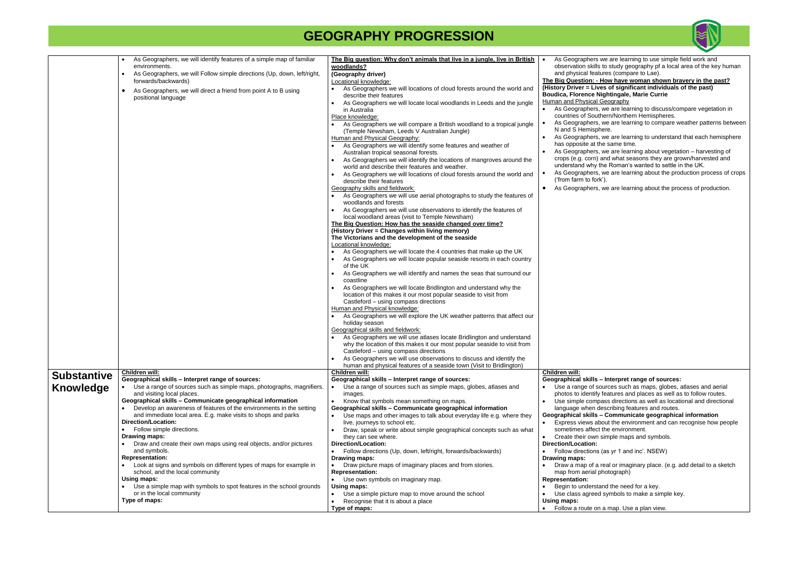|                    | As Geographers, we will identify features of a simple map of familiar                               | The Big question: Why don't animals that live in a jungle, live in British                                                           | As Geographers we                                       |
|--------------------|-----------------------------------------------------------------------------------------------------|--------------------------------------------------------------------------------------------------------------------------------------|---------------------------------------------------------|
|                    | environments.                                                                                       | woodlands?                                                                                                                           | observation skills to                                   |
|                    | As Geographers, we will Follow simple directions (Up, down, left/right,<br>$\bullet$                | (Geography driver)                                                                                                                   | and physical feature                                    |
|                    | forwards/backwards)                                                                                 | Locational knowledge:                                                                                                                | The Big Question: - Ho                                  |
|                    | As Geographers, we will direct a friend from point A to B using<br>$\bullet$<br>positional language | As Geographers we will locations of cloud forests around the world and<br>describe their features                                    | (History Driver = Lives<br><b>Boudica, Florence Nig</b> |
|                    |                                                                                                     | As Geographers we will locate local woodlands in Leeds and the jungle<br>in Australia                                                | <b>Human and Physical Ge</b><br>As Geographers, w       |
|                    |                                                                                                     | Place knowledge:                                                                                                                     | countries of Southe                                     |
|                    |                                                                                                     | As Geographers we will compare a British woodland to a tropical jungle                                                               | As Geographers, w<br>$\bullet$                          |
|                    |                                                                                                     | (Temple Newsham, Leeds V Australian Jungle)                                                                                          | N and S Hemispher                                       |
|                    |                                                                                                     | Human and Physical Geography:                                                                                                        | As Geographers, w<br>$\bullet$                          |
|                    |                                                                                                     | As Geographers we will identify some features and weather of                                                                         | has opposite at the                                     |
|                    |                                                                                                     | Australian tropical seasonal forests.                                                                                                | As Geographers, w                                       |
|                    |                                                                                                     | As Geographers we will identify the locations of mangroves around the                                                                | crops (e.g. corn) an                                    |
|                    |                                                                                                     | world and describe their features and weather.                                                                                       | understand why the                                      |
|                    |                                                                                                     | As Geographers we will locations of cloud forests around the world and                                                               | As Geographers, w<br>$\bullet$                          |
|                    |                                                                                                     | describe their features                                                                                                              | ('from farm to fork').                                  |
|                    |                                                                                                     | Geography skills and fieldwork:                                                                                                      | As Geographers, w<br>$\bullet$                          |
|                    |                                                                                                     | As Geographers we will use aerial photographs to study the features of<br>woodlands and forests                                      |                                                         |
|                    |                                                                                                     | As Geographers we will use observations to identify the features of                                                                  |                                                         |
|                    |                                                                                                     | local woodland areas (visit to Temple Newsham)                                                                                       |                                                         |
|                    |                                                                                                     | The Big Question: How has the seaside changed over time?<br>(History Driver = Changes within living memory)                          |                                                         |
|                    |                                                                                                     | The Victorians and the development of the seaside                                                                                    |                                                         |
|                    |                                                                                                     | Locational knowledge:                                                                                                                |                                                         |
|                    |                                                                                                     | As Geographers we will locate the 4 countries that make up the UK                                                                    |                                                         |
|                    |                                                                                                     | As Geographers we will locate popular seaside resorts in each country                                                                |                                                         |
|                    |                                                                                                     | of the UK                                                                                                                            |                                                         |
|                    |                                                                                                     | As Geographers we will identify and names the seas that surround our                                                                 |                                                         |
|                    |                                                                                                     | coastline                                                                                                                            |                                                         |
|                    |                                                                                                     | As Geographers we will locate Bridlington and understand why the<br>location of this makes it our most popular seaside to visit from |                                                         |
|                    |                                                                                                     | Castleford - using compass directions                                                                                                |                                                         |
|                    |                                                                                                     | Human and Physical knowledge:                                                                                                        |                                                         |
|                    |                                                                                                     | As Geographers we will explore the UK weather patterns that affect our                                                               |                                                         |
|                    |                                                                                                     | holiday season                                                                                                                       |                                                         |
|                    |                                                                                                     | Geographical skills and fieldwork:                                                                                                   |                                                         |
|                    |                                                                                                     | As Geographers we will use atlases locate Bridlington and understand                                                                 |                                                         |
|                    |                                                                                                     | why the location of this makes it our most popular seaside to visit from                                                             |                                                         |
|                    |                                                                                                     | Castleford - using compass directions                                                                                                |                                                         |
|                    |                                                                                                     | As Geographers we will use observations to discuss and identify the                                                                  |                                                         |
|                    |                                                                                                     | human and physical features of a seaside town (Visit to Bridlington)                                                                 |                                                         |
|                    | Children will:                                                                                      | <b>Children will:</b>                                                                                                                | Children will:                                          |
| <b>Substantive</b> | Geographical skills - Interpret range of sources:                                                   | Geographical skills - Interpret range of sources:                                                                                    | Geographical skills - In                                |
| Knowledge          | Use a range of sources such as simple maps, photographs, magnifiers.                                | Use a range of sources such as simple maps, globes, atlases and                                                                      | Use a range of sour                                     |
|                    | and visiting local places.                                                                          | images.                                                                                                                              | photos to identify fe                                   |
|                    | Geographical skills - Communicate geographical information                                          | Know that symbols mean something on maps.<br>$\bullet$                                                                               | Use simple compas                                       |
|                    | Develop an awareness of features of the environments in the setting                                 | Geographical skills - Communicate geographical information                                                                           | language when des                                       |
|                    | and immediate local area. E.g. make visits to shops and parks                                       | Use maps and other images to talk about everyday life e.g. where they                                                                | Geographical skills - 0                                 |
|                    | Direction/Location:                                                                                 | live, journeys to school etc.                                                                                                        | Express views abou                                      |
|                    | Follow simple directions.                                                                           | Draw, speak or write about simple geographical concepts such as what<br>$\bullet$                                                    | sometimes affect th                                     |
|                    | Drawing maps:                                                                                       | they can see where.                                                                                                                  | Create their own sir<br>$\bullet$                       |
|                    | Draw and create their own maps using real objects, and/or pictures                                  | <b>Direction/Location:</b>                                                                                                           | Direction/Location:                                     |
|                    | and symbols.                                                                                        | Follow directions (Up, down, left/right, forwards/backwards)<br>$\bullet$                                                            | Follow directions (a<br>$\bullet$                       |
|                    | <b>Representation:</b>                                                                              | Drawing maps:                                                                                                                        | Drawing maps:                                           |
|                    | Look at signs and symbols on different types of maps for example in                                 | Draw picture maps of imaginary places and from stories.                                                                              | Draw a map of a rea                                     |
|                    | school, and the local community                                                                     | <b>Representation:</b>                                                                                                               | map from aerial pho                                     |
|                    | Using maps:<br>• Use a simple map with symbols to spot features in the school grounds               | Use own symbols on imaginary map.                                                                                                    | <b>Representation:</b>                                  |
|                    | or in the local community                                                                           | Using maps:                                                                                                                          | Begin to understand                                     |
|                    | Type of maps:                                                                                       | Use a simple picture map to move around the school<br>$\bullet$<br>Recognise that it is about a place                                | Use class agreed sy<br>Using maps:                      |
|                    |                                                                                                     | Type of maps:                                                                                                                        | • Follow a route on a                                   |
|                    |                                                                                                     |                                                                                                                                      |                                                         |



we are learning to use simple field work and to study geography pf a local area of the key human ures (compare to Lae).

#### **How have woman shown bravery in the past? (Bis of significant individuals of the past) ightingale, Marie Currie** <u>Geography</u>

we are learning to discuss/compare vegetation in hern/Northern Hemispheres.

we are learning to compare weather patterns between nere.

we are learning to understand that each hemisphere he same time.

we are learning about vegetation – harvesting of and what seasons they are grown/harvested and he Roman's wanted to settle in the UK.

we are learning about the production process of crops

we are learning about the process of production.

#### **Geographical skills – Interpret range of sources:**

burces such as maps, globes, atlases and aerial features and places as well as to follow routes. ass directions as well as locational and directional escribing features and routes.

**Geographical skills – Communicate geographical information**

out the environment and can recognise how people the environment.

simple maps and symbols.

(as yr 1 and inc'. NSEW)

real or imaginary place. (e.g. add detail to a sketch hotograph)

nd the need for a key. I symbols to make a simple key.

a map. Use a plan view.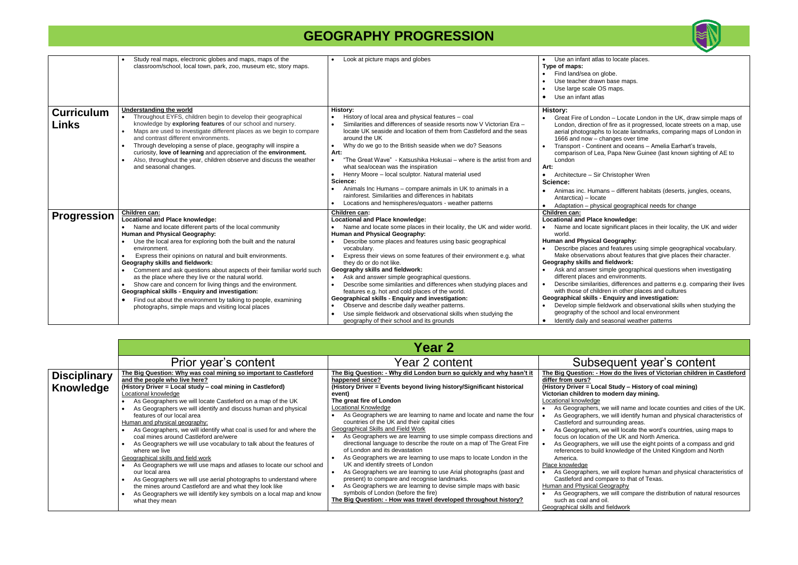|                            | Study real maps, electronic globes and maps, maps of the<br>classroom/school, local town, park, zoo, museum etc, story maps.                                                                                                                                                                                                                                                                                                                                                                                                                                                                                                                                                                                                        | Look at picture maps and globes                                                                                                                                                                                                                                                                                                                                                                                                                                                                                                                                                                                                                                                                                                                                                                                      | Use an infant atlas<br>Type of maps:<br>Find land/sea on gl<br>Use teacher drawn<br>Use large scale OS<br>Use an infant atlas                                                                                                                                                                                                                                                                               |
|----------------------------|-------------------------------------------------------------------------------------------------------------------------------------------------------------------------------------------------------------------------------------------------------------------------------------------------------------------------------------------------------------------------------------------------------------------------------------------------------------------------------------------------------------------------------------------------------------------------------------------------------------------------------------------------------------------------------------------------------------------------------------|----------------------------------------------------------------------------------------------------------------------------------------------------------------------------------------------------------------------------------------------------------------------------------------------------------------------------------------------------------------------------------------------------------------------------------------------------------------------------------------------------------------------------------------------------------------------------------------------------------------------------------------------------------------------------------------------------------------------------------------------------------------------------------------------------------------------|-------------------------------------------------------------------------------------------------------------------------------------------------------------------------------------------------------------------------------------------------------------------------------------------------------------------------------------------------------------------------------------------------------------|
| <b>Curriculum</b><br>Links | Understanding the world<br>Throughout EYFS, children begin to develop their geographical<br>knowledge by exploring features of our school and nursery.<br>Maps are used to investigate different places as we begin to compare<br>and contrast different environments.<br>Through developing a sense of place, geography will inspire a<br>curiosity, love of learning and appreciation of the environment.<br>Also, throughout the year, children observe and discuss the weather<br>and seasonal changes.                                                                                                                                                                                                                         | History:<br>History of local area and physical features - coal<br>Similarities and differences of seaside resorts now V Victorian Era -<br>locate UK seaside and location of them from Castleford and the seas<br>around the UK<br>Why do we go to the British seaside when we do? Seasons<br>$\bullet$<br>Art:<br>"The Great Wave" - Katsushika Hokusai – where is the artist from and<br>$\bullet$<br>what sea/ocean was the inspiration<br>Henry Moore - local sculptor. Natural material used<br>Science:<br>Animals Inc Humans – compare animals in UK to animals in a<br>rainforest. Similarities and differences in habitats<br>Locations and hemispheres/equators - weather patterns                                                                                                                         | History:<br>Great Fire of Londo<br>London, direction o<br>aerial photographs<br>1666 and now - ch<br>Transport - Contine<br>comparison of Lea,<br>London<br>Art:<br>Architecture - Sir C<br>$\bullet$<br>Science:<br>Animas inc. Humar<br>Antarctica) - locate<br>Adaptation – physic                                                                                                                       |
| <b>Progression</b>         | Children can:<br><b>Locational and Place knowledge:</b><br>Name and locate different parts of the local community<br>Human and Physical Geography:<br>Use the local area for exploring both the built and the natural<br>environment.<br>Express their opinions on natural and built environments.<br>Geography skills and fieldwork:<br>Comment and ask questions about aspects of their familiar world such<br>as the place where they live or the natural world.<br>Show care and concern for living things and the environment.<br><b>Geographical skills - Enquiry and investigation:</b><br>Find out about the environment by talking to people, examining<br>$\bullet$<br>photographs, simple maps and visiting local places | Children can:<br><b>Locational and Place knowledge:</b><br>Name and locate some places in their locality, the UK and wider world.<br>Human and Physical Geography:<br>Describe some places and features using basic geographical<br>vocabulary.<br>Express their views on some features of their environment e.g. what<br>they do or do not like.<br>Geography skills and fieldwork:<br>Ask and answer simple geographical questions.<br>$\bullet$<br>Describe some similarities and differences when studying places and<br>$\bullet$<br>features e.g. hot and cold places of the world.<br><b>Geographical skills - Enquiry and investigation:</b><br>Observe and describe daily weather patterns.<br>Use simple fieldwork and observational skills when studying the<br>geography of their school and its grounds | Children can:<br><b>Locational and Place I</b><br>Name and locate si<br>$\bullet$<br>world.<br><b>Human and Physical O</b><br>Describe places an<br>Make observations<br>Geography skills and<br>Ask and answer sir<br>different places and<br>Describe similaritie<br>with those of childre<br>Geographical skills - E<br>Develop simple fiel<br>geography of the so<br>Identify daily and se<br>$\bullet$ |

#### **(History Driver = Local Study – History of coal mining)** modern day mining.

we will name and locate counties and cities of the UK. we will identify human and physical characteristics of rrounding areas.

we will locate the word's countries, using maps to of the UK and North America.

we will use the eight points of a compass and grid I knowledge of the United Kingdom and North $\check{~}$ 

we will explore human and physical characteristics of mpare to that of Texas.

we will compare the distribution of natural resources d fieldwork

| Year 2 content<br>Prior year's content<br>The Big Question: Why was coal mining so important to Castleford<br><u>The Big Question: - Why did London burn so quickly and why hasn't it</u><br><b>Disciplinary</b><br>and the people who live here?<br>happened since?<br>differ from ours?<br>Knowledge<br>(History Driver = Local study - coal mining in Castleford)<br>(History Driver = Events beyond living history/Significant historical<br>(History Driver = Local Study - History of coal mining)<br>Locational knowledge<br>Victorian children to modern day mining.<br>event)<br>Locational knowledge<br>The great fire of London<br>As Geographers we will locate Castleford on a map of the UK<br>Locational Knowledge<br>As Geographers we will identify and discuss human and physical<br>As Geographers we are learning to name and locate and name the four<br>features of our local area<br>countries of the UK and their capital cities<br>Human and physical geography:<br>Castleford and surrounding areas.<br><b>Geographical Skills and Field Work</b><br>As Geographers, we will identify what coal is used for and where the<br>As Geographers we are learning to use simple compass directions and<br>coal mines around Castleford are/were<br>focus on location of the UK and North America.<br>directional language to describe the route on a map of The Great Fire<br>As Geographers we will use vocabulary to talk about the features of<br>of London and its devastation<br>where we live<br>As Geographers we are learning to use maps to locate London in the<br>Geographical skills and field work<br>America.<br>UK and identify streets of London<br>Place knowledge<br>As Geographers we will use maps and atlases to locate our school and<br>As Geographers we are learning to use Arial photographs (past and<br>our local area<br>present) to compare and recognise landmarks.<br>Castleford and compare to that of Texas.<br>As Geographers we will use aerial photographs to understand where<br>Human and Physical Geography<br>the mines around Castleford are and what they look like<br>As Geographers we are learning to devise simple maps with basic<br>symbols of London (before the fire)<br>As Geographers we will identify key symbols on a local map and know |                | <b>Year 2</b>                                                    |                                                                                                                                                                                                                                                                                                                                                                                                                                                                                                                                              |
|---------------------------------------------------------------------------------------------------------------------------------------------------------------------------------------------------------------------------------------------------------------------------------------------------------------------------------------------------------------------------------------------------------------------------------------------------------------------------------------------------------------------------------------------------------------------------------------------------------------------------------------------------------------------------------------------------------------------------------------------------------------------------------------------------------------------------------------------------------------------------------------------------------------------------------------------------------------------------------------------------------------------------------------------------------------------------------------------------------------------------------------------------------------------------------------------------------------------------------------------------------------------------------------------------------------------------------------------------------------------------------------------------------------------------------------------------------------------------------------------------------------------------------------------------------------------------------------------------------------------------------------------------------------------------------------------------------------------------------------------------------------------------------------------------------------------------------------------------------------------------------------------------------------------------------------------------------------------------------------------------------------------------------------------------------------------------------------------------------------------------------------------------------------------------------------------------------------------------------------------------------------------------------------------------------------------|----------------|------------------------------------------------------------------|----------------------------------------------------------------------------------------------------------------------------------------------------------------------------------------------------------------------------------------------------------------------------------------------------------------------------------------------------------------------------------------------------------------------------------------------------------------------------------------------------------------------------------------------|
|                                                                                                                                                                                                                                                                                                                                                                                                                                                                                                                                                                                                                                                                                                                                                                                                                                                                                                                                                                                                                                                                                                                                                                                                                                                                                                                                                                                                                                                                                                                                                                                                                                                                                                                                                                                                                                                                                                                                                                                                                                                                                                                                                                                                                                                                                                                     |                |                                                                  | Subsequent year's content                                                                                                                                                                                                                                                                                                                                                                                                                                                                                                                    |
| Geographical skills and fieldwork                                                                                                                                                                                                                                                                                                                                                                                                                                                                                                                                                                                                                                                                                                                                                                                                                                                                                                                                                                                                                                                                                                                                                                                                                                                                                                                                                                                                                                                                                                                                                                                                                                                                                                                                                                                                                                                                                                                                                                                                                                                                                                                                                                                                                                                                                   | what they mean | The Big Question: - How was travel developed throughout history? | The Big Question: - How do the lives of Victorian children in<br>As Geographers, we will name and locate counties and cities<br>As Geographers, we will identify human and physical charac<br>As Geographers, we will locate the word's countries, using n<br>As Geographers, we will use the eight points of a compass a<br>references to build knowledge of the United Kingdom and No<br>As Geographers, we will explore human and physical charac<br>As Geographers, we will compare the distribution of natural<br>such as coal and oil. |



to locate places.

lobe. base maps. S maps.

on – Locate London in the UK, draw simple maps of of fire as it progressed, locate streets on a map, use to locate landmarks, comparing maps of London in hanges over time

ent and oceans – Amelia Earhart's travels, , Papa New Guinee (last known sighting of AE to

Christopher Wren

ans – different habitats (deserts, jungles, oceans,

ical geographical needs for change

#### **knowledge:**

significant places in their locality, the UK and wider

#### **Geography:**

nd features using simple geographical vocabulary.  $\frac{1}{2}$  about features that give places their character.

#### **fieldwork:**

mple geographical questions when investigating nd environments.

es, differences and patterns e.g. comparing their lives ren in other places and cultures

**Enquiry and investigation:** 

ldwork and observational skills when studying the

school and local environment

seasonal weather patterns

**The Big Question: - How do the lives of Victorian children in Castleford**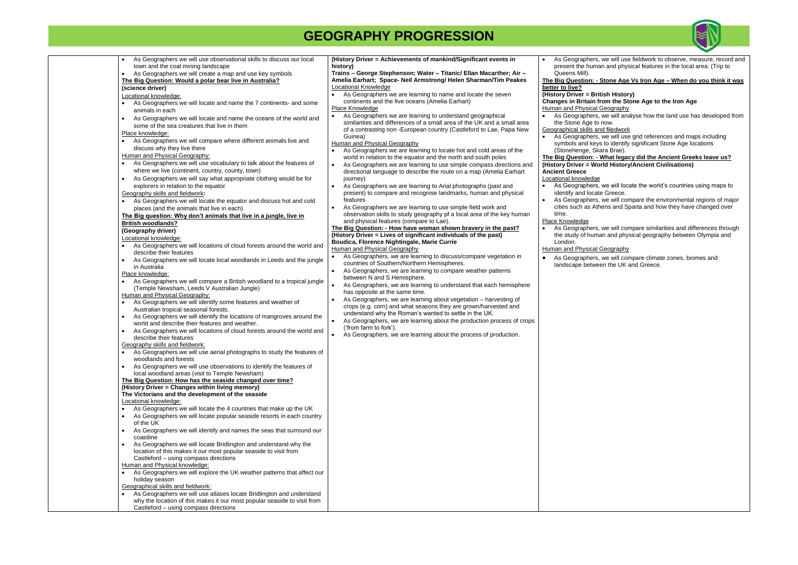| As Geographers we will use observational skills to discuss our local                                                               | (History Driver = Achievements of mankind/Significant events in                    | As Geographers,                            |
|------------------------------------------------------------------------------------------------------------------------------------|------------------------------------------------------------------------------------|--------------------------------------------|
| town and the coal mining landscape                                                                                                 | history)                                                                           | present the huma                           |
| As Geographers we will create a map and use key symbols<br>$\bullet$                                                               | Trains - George Stephenson; Water - Titanic/ Ellan Macarther; Air -                | Queens Mill).                              |
| The Big Question: Would a polar bear live in Australia?                                                                            | Amelia Earhart; Space- Neil Armstrong/ Helen Sharman/Tim Peakes                    | The Big Question: - \$                     |
| (science driver)                                                                                                                   | Locational Knowledge                                                               | better to live?                            |
| Locational knowledge:                                                                                                              | As Geographers we are learning to name and locate the seven                        | (History Driver = Brit                     |
| As Geographers we will locate and name the 7 continents- and some<br>$\bullet$                                                     | continents and the five oceans (Amelia Earhart)                                    | <b>Changes in Britain fr</b>               |
| animals in each                                                                                                                    | Place Knowledge                                                                    | Human and Physical O                       |
| As Geographers we will locate and name the oceans of the world and                                                                 | As Geographers we are learning to understand geographical<br>$\bullet$             | As Geographers,                            |
| some of the sea creatures that live in them                                                                                        | similarities and differences of a small area of the UK and a small area            | the Stone Age to<br>Geographical skills an |
| Place knowledge:                                                                                                                   | of a contrasting non -European country (Castleford to Lae, Papa New<br>Guinea)     |                                            |
| As Geographers we will compare where different animals live and<br>$\bullet$                                                       | Human and Physical Geography                                                       | As Geographers,<br>symbols and keys        |
| discuss why they live there                                                                                                        | As Geographers we are learning to locate hot and cold areas of the                 | (Stonehenge, Ska                           |
| Human and Physical Geography:                                                                                                      | world in relation to the equator and the north and south poles                     | The Big Question: - \                      |
| As Geographers we will use vocabulary to talk about the features of                                                                | As Geographers we are learning to use simple compass directions and<br>$\bullet$   | (History Driver = Wor                      |
| where we live (continent, country, county, town)                                                                                   | directional language to describe the route on a map (Amelia Earhart                | <b>Ancient Greece</b>                      |
| As Geographers we will say what appropriate clothing would be for<br>$\bullet$                                                     | journey)                                                                           | Locational knowledge                       |
| explorers in relation to the equator                                                                                               | As Geographers we are learning to Arial photographs (past and<br>$\bullet$         | As Geographers,                            |
| Geography skills and fieldwork:                                                                                                    | present) to compare and recognise landmarks, human and physical                    | identify and locate                        |
| As Geographers we will locate the equator and discuss hot and cold                                                                 | features                                                                           | As Geographers,                            |
| places (and the animals that live in each)                                                                                         | As Geographers we are learning to use simple field work and                        | cities such as Ath                         |
| The Big question: Why don't animals that live in a jungle, live in                                                                 | observation skills to study geography pf a local area of the key human             | time.                                      |
|                                                                                                                                    | and physical features (compare to Lae).                                            | Place Knowledge                            |
| <b>British woodlands?</b>                                                                                                          | The Big Question: - How have woman shown bravery in the past?                      | As Geographers,                            |
| (Geography driver)                                                                                                                 | (History Driver = Lives of significant individuals of the past)                    | the study of huma                          |
| Locational knowledge:                                                                                                              | Boudica, Florence Nightingale, Marie Currie                                        | London.                                    |
| As Geographers we will locations of cloud forests around the world and                                                             | Human and Physical Geography                                                       | Human and Physical O                       |
| describe their features                                                                                                            | As Geographers, we are learning to discuss/compare vegetation in                   | As Geographers,                            |
| As Geographers we will locate local woodlands in Leeds and the jungle<br>$\bullet$                                                 | countries of Southern/Northern Hemispheres.                                        | landscape betwee                           |
| in Australia<br>Place knowledge:                                                                                                   | $\bullet$<br>As Geographers, we are learning to compare weather patterns           |                                            |
|                                                                                                                                    | between N and S Hemisphere.                                                        |                                            |
| As Geographers we will compare a British woodland to a tropical jungle<br>$\bullet$<br>(Temple Newsham, Leeds V Australian Jungle) | As Geographers, we are learning to understand that each hemisphere                 |                                            |
| Human and Physical Geography:                                                                                                      | has opposite at the same time.                                                     |                                            |
| As Geographers we will identify some features and weather of<br>$\bullet$                                                          | As Geographers, we are learning about vegetation - harvesting of                   |                                            |
| Australian tropical seasonal forests.                                                                                              | crops (e.g. corn) and what seasons they are grown/harvested and                    |                                            |
| As Geographers we will identify the locations of mangroves around the<br>$\bullet$                                                 | understand why the Roman's wanted to settle in the UK.                             |                                            |
| world and describe their features and weather.                                                                                     | As Geographers, we are learning about the production process of crops<br>$\bullet$ |                                            |
| As Geographers we will locations of cloud forests around the world and<br>$\bullet$                                                | ('from farm to fork').                                                             |                                            |
| describe their features                                                                                                            | As Geographers, we are learning about the process of production.                   |                                            |
| Geography skills and fieldwork:                                                                                                    |                                                                                    |                                            |
| As Geographers we will use aerial photographs to study the features of<br>$\bullet$                                                |                                                                                    |                                            |
| woodlands and forests                                                                                                              |                                                                                    |                                            |
| As Geographers we will use observations to identify the features of<br>$\bullet$                                                   |                                                                                    |                                            |
| local woodland areas (visit to Temple Newsham)                                                                                     |                                                                                    |                                            |
| The Big Question: How has the seaside changed over time?                                                                           |                                                                                    |                                            |
| (History Driver = Changes within living memory)                                                                                    |                                                                                    |                                            |
| The Victorians and the development of the seaside                                                                                  |                                                                                    |                                            |
| Locational knowledge:                                                                                                              |                                                                                    |                                            |
| As Geographers we will locate the 4 countries that make up the UK<br>$\bullet$                                                     |                                                                                    |                                            |
| As Geographers we will locate popular seaside resorts in each country<br>$\bullet$                                                 |                                                                                    |                                            |
| of the UK                                                                                                                          |                                                                                    |                                            |
| As Geographers we will identify and names the seas that surround our<br>$\bullet$                                                  |                                                                                    |                                            |
| coastline                                                                                                                          |                                                                                    |                                            |
| As Geographers we will locate Bridlington and understand why the<br>$\bullet$                                                      |                                                                                    |                                            |
| location of this makes it our most popular seaside to visit from                                                                   |                                                                                    |                                            |
| Castleford - using compass directions                                                                                              |                                                                                    |                                            |
| Human and Physical knowledge:                                                                                                      |                                                                                    |                                            |
| As Geographers we will explore the UK weather patterns that affect our                                                             |                                                                                    |                                            |
| holiday season                                                                                                                     |                                                                                    |                                            |
| Geographical skills and fieldwork:                                                                                                 |                                                                                    |                                            |
| As Geographers we will use atlases locate Bridlington and understand<br>$\bullet$                                                  |                                                                                    |                                            |
| why the location of this makes it our most popular seaside to visit from                                                           |                                                                                    |                                            |
| Castleford - using compass directions                                                                                              |                                                                                    |                                            |



we will use fieldwork to observe, measure, record and an and physical features in the local area. (Trip to

### **Stone Age Vs Iron Age – When do you think it was**

**(History Driver = British History)**

#### rom the Stone Age to the Iron Age Geography

we will analyse how the land use has developed from now.

nd filedwork

we will use grid references and maps including ys to identify significant Stone Age locations

ara Brae).

**The Big Ould Big Ancient Greeks leave us? (brid History/Ancient Civilisations)** 

we will locate the world's countries using maps to ite Greece.

we will compare the environmental regions of major ens and Sparta and how they have changed over

we will compare similarities and differences through an and physical geography between Olympia and

Geography

we will compare climate zones, biomes and en the UK and Greece.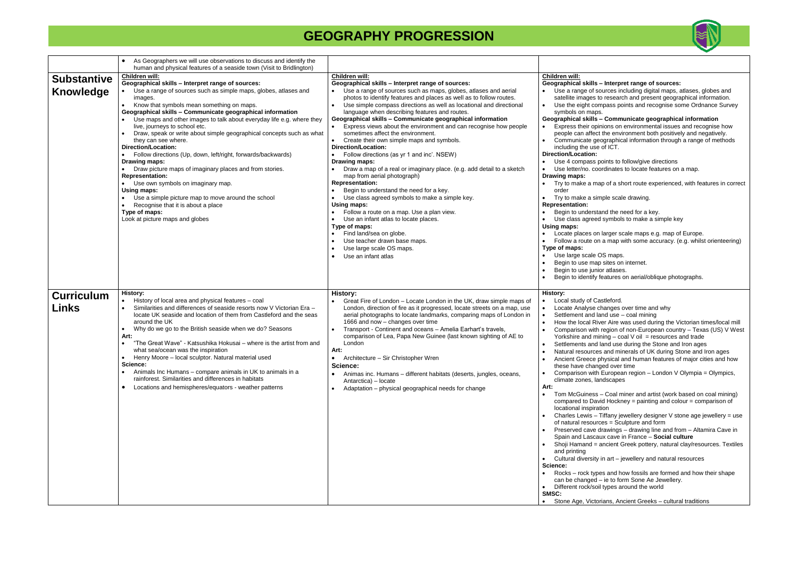|                                        | As Geographers we will use observations to discuss and identify the<br>human and physical features of a seaside town (Visit to Bridlington)                                                                                                                                                                                                                                                                                                                                                                                                                                                                                                                                                                                                                                                                                                                                                      |                                                                                                                                                                                                                                                                                                                                                                                                                                                                                                                                                                                                                                                                                                                                                                                                                                                                                                                                                                                                                                                                                                                                                       |                                                                                                                                                                                                                                                                                                                                                                                                                                                                                                                                                                                                                                                                                                                                                                                                                                                                                                                                                                                                                                                                                                                                                                                                                                                                                                                                                                                                                                                                                                                                                        |
|----------------------------------------|--------------------------------------------------------------------------------------------------------------------------------------------------------------------------------------------------------------------------------------------------------------------------------------------------------------------------------------------------------------------------------------------------------------------------------------------------------------------------------------------------------------------------------------------------------------------------------------------------------------------------------------------------------------------------------------------------------------------------------------------------------------------------------------------------------------------------------------------------------------------------------------------------|-------------------------------------------------------------------------------------------------------------------------------------------------------------------------------------------------------------------------------------------------------------------------------------------------------------------------------------------------------------------------------------------------------------------------------------------------------------------------------------------------------------------------------------------------------------------------------------------------------------------------------------------------------------------------------------------------------------------------------------------------------------------------------------------------------------------------------------------------------------------------------------------------------------------------------------------------------------------------------------------------------------------------------------------------------------------------------------------------------------------------------------------------------|--------------------------------------------------------------------------------------------------------------------------------------------------------------------------------------------------------------------------------------------------------------------------------------------------------------------------------------------------------------------------------------------------------------------------------------------------------------------------------------------------------------------------------------------------------------------------------------------------------------------------------------------------------------------------------------------------------------------------------------------------------------------------------------------------------------------------------------------------------------------------------------------------------------------------------------------------------------------------------------------------------------------------------------------------------------------------------------------------------------------------------------------------------------------------------------------------------------------------------------------------------------------------------------------------------------------------------------------------------------------------------------------------------------------------------------------------------------------------------------------------------------------------------------------------------|
| <b>Substantive</b><br><b>Knowledge</b> | Children will:<br>Geographical skills - Interpret range of sources:<br>Use a range of sources such as simple maps, globes, atlases and<br>images.<br>Know that symbols mean something on maps.<br>$\bullet$<br>Geographical skills - Communicate geographical information<br>Use maps and other images to talk about everyday life e.g. where they<br>live, journeys to school etc.<br>Draw, speak or write about simple geographical concepts such as what<br>they can see where.<br><b>Direction/Location:</b><br>• Follow directions (Up, down, left/right, forwards/backwards)<br>Drawing maps:<br>Draw picture maps of imaginary places and from stories.<br><b>Representation:</b><br>• Use own symbols on imaginary map.<br>Using maps:<br>• Use a simple picture map to move around the school<br>Recognise that it is about a place<br>Type of maps:<br>Look at picture maps and globes | <b>Children will:</b><br>Geographical skills - Interpret range of sources:<br>Use a range of sources such as maps, globes, atlases and aerial<br>photos to identify features and places as well as to follow routes.<br>Use simple compass directions as well as locational and directional<br>language when describing features and routes.<br>Geographical skills - Communicate geographical information<br>• Express views about the environment and can recognise how people<br>sometimes affect the environment.<br>Create their own simple maps and symbols.<br>$\bullet$<br>Direction/Location:<br>Follow directions (as yr 1 and inc'. NSEW)<br>Drawing maps:<br>Draw a map of a real or imaginary place. (e.g. add detail to a sketch<br>map from aerial photograph)<br><b>Representation:</b><br>Begin to understand the need for a key.<br>Use class agreed symbols to make a simple key.<br>Using maps:<br>Follow a route on a map. Use a plan view.<br>Use an infant atlas to locate places.<br>Type of maps:<br>Find land/sea on globe.<br>Use teacher drawn base maps.<br>Use large scale OS maps.<br>Use an infant atlas<br>$\bullet$ | <b>Children will:</b><br>Geographical skills - Interpret range of sources:<br>Use a range of sources including digital maps, atlases, globes and<br>satellite images to research and present geographical information.<br>Use the eight compass points and recognise some Ordnance Survey<br>symbols on maps.<br>Geographical skills - Communicate geographical information<br>Express their opinions on environmental issues and recognise how<br>people can affect the environment both positively and negatively.<br>Communicate geographical information through a range of methods<br>including the use of ICT.<br><b>Direction/Location:</b><br>Use 4 compass points to follow/give directions<br>Use letter/no. coordinates to locate features on a map.<br>Drawing maps:<br>Try to make a map of a short route experienced, with features in correct<br>order<br>Try to make a simple scale drawing.<br><b>Representation:</b><br>Begin to understand the need for a key.<br>Use class agreed symbols to make a simple key<br>Using maps:<br>Locate places on larger scale maps e.g. map of Europe.<br>Follow a route on a map with some accuracy. (e.g. whilst orienteering)<br>Type of maps:<br>Use large scale OS maps.<br>Begin to use map sites on internet.<br>Begin to use junior atlases.<br>Begin to identify features on aerial/oblique photographs.                                                                                                                                                                                 |
| <b>Curriculum</b><br>Links             | <b>History:</b><br>History of local area and physical features - coal<br>$\bullet$<br>Similarities and differences of seaside resorts now V Victorian Era -<br>locate UK seaside and location of them from Castleford and the seas<br>around the UK<br>Why do we go to the British seaside when we do? Seasons<br>$\bullet$<br>Art:<br>"The Great Wave" - Katsushika Hokusai – where is the artist from and<br>$\bullet$<br>what sea/ocean was the inspiration<br>Henry Moore - local sculptor. Natural material used<br>Science:<br>• Animals Inc Humans – compare animals in UK to animals in a<br>rainforest. Similarities and differences in habitats<br>Locations and hemispheres/equators - weather patterns<br>$\bullet$                                                                                                                                                                  | <b>History:</b><br>Great Fire of London - Locate London in the UK, draw simple maps of<br>London, direction of fire as it progressed, locate streets on a map, use<br>aerial photographs to locate landmarks, comparing maps of London in<br>1666 and now - changes over time<br>Transport - Continent and oceans - Amelia Earhart's travels,<br>comparison of Lea, Papa New Guinee (last known sighting of AE to<br>London<br>Art:<br>Architecture - Sir Christopher Wren<br>Science:<br>Animas inc. Humans - different habitats (deserts, jungles, oceans,<br>$\bullet$<br>Antarctica) - locate<br>Adaptation - physical geographical needs for change                                                                                                                                                                                                                                                                                                                                                                                                                                                                                              | History:<br>Local study of Castleford.<br>Locate Analyse changes over time and why<br>Settlement and land use - coal mining<br>$\bullet$<br>How the local River Aire was used during the Victorian times/local mill<br>Comparison with region of non-European country - Texas (US) V West<br>Yorkshire and mining $-$ coal V oil = resources and trade<br>Settlements and land use during the Stone and Iron ages<br>Natural resources and minerals of UK during Stone and Iron ages<br>Ancient Greece physical and human features of major cities and how<br>these have changed over time<br>Comparison with European region - London V Olympia = Olympics,<br>climate zones, landscapes<br>Art:<br>Tom McGuiness - Coal miner and artist (work based on coal mining)<br>compared to David Hockney = painting and colour = comparison of<br>locational inspiration<br>Charles Lewis - Tiffany jewellery designer V stone age jewellery = use<br>of natural resources = Sculpture and form<br>Preserved cave drawings - drawing line and from - Altamira Cave in<br>Spain and Lascaux cave in France - Social culture<br>Shoji Hamand = ancient Greek pottery, natural clay/resources. Textiles<br>and printing<br>Cultural diversity in art - jewellery and natural resources<br>Science:<br>Rocks – rock types and how fossils are formed and how their shape<br>can be changed - ie to form Sone Ae Jewellery.<br>• Different rock/soil types around the world<br>SMSC:<br>Stone Age, Victorians, Ancient Greeks - cultural traditions<br>$\bullet$ |

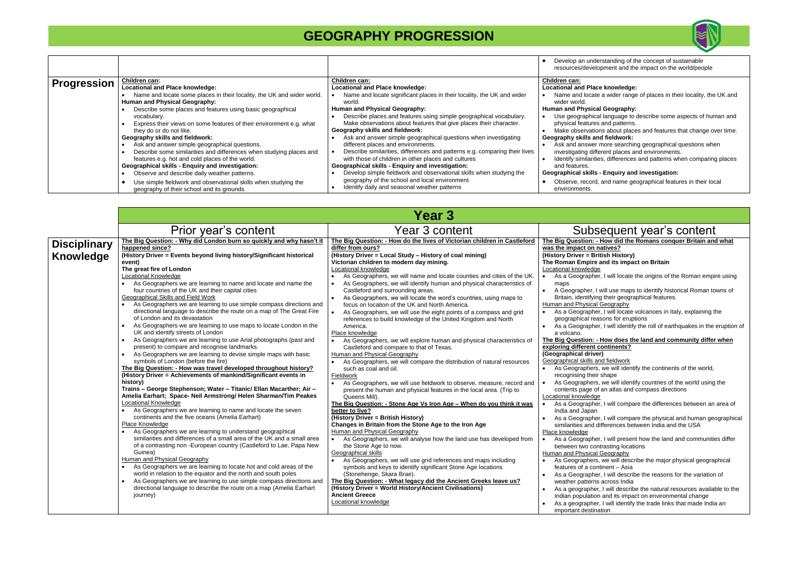|                    |                                                                        |                                                                            | Develop an unders<br>resources/developr |
|--------------------|------------------------------------------------------------------------|----------------------------------------------------------------------------|-----------------------------------------|
| <b>Progression</b> | Children can:                                                          | Children can:                                                              | Children can:                           |
|                    | Locational and Place knowledge:                                        | Locational and Place knowledge:                                            | <b>Locational and Place I</b>           |
|                    | Name and locate some places in their locality, the UK and wider world. | Name and locate significant places in their locality, the UK and wider     | Name and locate a                       |
|                    | Human and Physical Geography:                                          | world.                                                                     | wider world.                            |
|                    | Describe some places and features using basic geographical             | Human and Physical Geography:                                              | <b>Human and Physical O</b>             |
|                    | vocabulary.                                                            | Describe places and features using simple geographical vocabulary.         | Use geographical la                     |
|                    | Express their views on some features of their environment e.g. what    | Make observations about features that give places their character.         | physical features a                     |
|                    | they do or do not like.                                                | Geography skills and fieldwork:                                            | Make observations                       |
|                    | Geography skills and fieldwork:                                        | Ask and answer simple geographical questions when investigating            | Geography skills and                    |
|                    | Ask and answer simple geographical questions.                          | different places and environments.                                         | Ask and answer mo                       |
|                    | Describe some similarities and differences when studying places and    | Describe similarities, differences and patterns e.g. comparing their lives | investigating differe                   |
|                    | features e.g. hot and cold places of the world.                        | with those of children in other places and cultures                        | Identify similarities,                  |
|                    | <b>Geographical skills - Enquiry and investigation:</b>                | <b>Geographical skills - Enquiry and investigation:</b>                    | and features.                           |
|                    | Observe and describe daily weather patterns.                           | Develop simple fieldwork and observational skills when studying the        | Geographical skills - E                 |
|                    | Use simple fieldwork and observational skills when studying the        | geography of the school and local environment                              | Observe, record, a                      |
|                    | geography of their school and its grounds                              | Identify daily and seasonal weather patterns                               | environments.                           |

**The Big Question: - How did the Romans conquer Britain and what**  <u>natives?</u>

her, I will locate the origins of the Roman empire using

, I will use maps to identify historical Roman towns of ing their geographical features.

her, I will locate volcanoes in Italy, explaining the easons for eruptions

her, I will identify the roll of earthquakes in the eruption of

### <u>**Figue Big Community differ when**</u> **t** continents?

ers, we will identify countries of the world using the of an atlas and compass directions

ber, I will compare the differences between an area of

her, I will compare the physical and human geographical I differences between India and the USA

her, I will present how the land and communities differ ontrasting locations

ers, we will describe the major physical geographical ontinent – Asia

her. I will describe the reasons for the variation of ns across India

er, I will describe the natural resources available to the Ition and its impact on environmental change her, I will identify the trade links that made India an

|                                         |                                                                                                                                                                                                                                                                                                                                                                                                                                                                                                                                                                                                                                                                                                                                                                                                                                                                                                                                    | <b>Year 3</b>                                                                                                                                                                                                                                                                                                                                                                                                                                                                                                                                                                                                                                                                                                                                                                                                                 |                                                                                                                                                                                                                                                                                                                                                                                                                                                                                                                                                                                                                                                                                                                                                                                                                                 |
|-----------------------------------------|------------------------------------------------------------------------------------------------------------------------------------------------------------------------------------------------------------------------------------------------------------------------------------------------------------------------------------------------------------------------------------------------------------------------------------------------------------------------------------------------------------------------------------------------------------------------------------------------------------------------------------------------------------------------------------------------------------------------------------------------------------------------------------------------------------------------------------------------------------------------------------------------------------------------------------|-------------------------------------------------------------------------------------------------------------------------------------------------------------------------------------------------------------------------------------------------------------------------------------------------------------------------------------------------------------------------------------------------------------------------------------------------------------------------------------------------------------------------------------------------------------------------------------------------------------------------------------------------------------------------------------------------------------------------------------------------------------------------------------------------------------------------------|---------------------------------------------------------------------------------------------------------------------------------------------------------------------------------------------------------------------------------------------------------------------------------------------------------------------------------------------------------------------------------------------------------------------------------------------------------------------------------------------------------------------------------------------------------------------------------------------------------------------------------------------------------------------------------------------------------------------------------------------------------------------------------------------------------------------------------|
|                                         | Prior year's content                                                                                                                                                                                                                                                                                                                                                                                                                                                                                                                                                                                                                                                                                                                                                                                                                                                                                                               | Year 3 content                                                                                                                                                                                                                                                                                                                                                                                                                                                                                                                                                                                                                                                                                                                                                                                                                | Subsequent year's content                                                                                                                                                                                                                                                                                                                                                                                                                                                                                                                                                                                                                                                                                                                                                                                                       |
| <b>Disciplinary</b><br><b>Knowledge</b> | The Big Question: - Why did London burn so quickly and why hasn't it<br>happened since?<br>(History Driver = Events beyond living history/Significant historical<br>event)<br>The great fire of London<br><b>Locational Knowledge</b>                                                                                                                                                                                                                                                                                                                                                                                                                                                                                                                                                                                                                                                                                              | The Big Question: - How do the lives of Victorian children in Castleford<br>differ from ours?<br>(History Driver = Local Study - History of coal mining)<br>Victorian children to modern day mining.<br>Locational knowledge<br>As Geographers, we will name and locate counties and cities of the UK.                                                                                                                                                                                                                                                                                                                                                                                                                                                                                                                        | The Big Question: - How did the Romans conquer Britain an<br>was the impact on natives?<br>(History Driver = British History)<br>The Roman Empire and its impact on Britain<br>Locational knowledge<br>As a Geographer, I will locate the origins of the Roman empi                                                                                                                                                                                                                                                                                                                                                                                                                                                                                                                                                             |
|                                         | As Geographers we are learning to name and locate and name the<br>four countries of the UK and their capital cities<br><b>Geographical Skills and Field Work</b><br>As Geographers we are learning to use simple compass directions and<br>directional language to describe the route on a map of The Great Fire<br>of London and its devastation<br>As Geographers we are learning to use maps to locate London in the<br>UK and identify streets of London<br>As Geographers we are learning to use Arial photographs (past and<br>present) to compare and recognise landmarks.<br>As Geographers we are learning to devise simple maps with basic<br>$\bullet$<br>symbols of London (before the fire)<br>The Big Question: - How was travel developed throughout history?<br>(History Driver = Achievements of mankind/Significant events in<br>history)<br>Trains - George Stephenson; Water - Titanic/ Ellan Macarther; Air - | As Geographers, we will identify human and physical characteristics of<br>Castleford and surrounding areas.<br>As Geographers, we will locate the word's countries, using maps to<br>focus on location of the UK and North America.<br>As Geographers, we will use the eight points of a compass and grid<br>references to build knowledge of the United Kingdom and North<br>America.<br>Place knowledge<br>As Geographers, we will explore human and physical characteristics of<br>Castleford and compare to that of Texas.<br>Human and Physical Geography<br>As Geographers, we will compare the distribution of natural resources<br>such as coal and oil.<br>Fieldwork<br>As Geographers, we will use fieldwork to observe, measure, record and<br>present the human and physical features in the local area. (Trip to | maps<br>A Geographer, I will use maps to identify historical Roman to<br>Britain, identifying their geographical features.<br>Human and Physical Geography<br>As a Geographer, I will locate volcanoes in Italy, explaining t<br>geographical reasons for eruptions<br>As a Geographer, I will identify the roll of earthquakes in the<br>a volcano.<br>The Big Question: - How does the land and community differ<br>exploring different continents?<br>(Geographical driver)<br>Geographical skills and fieldwork<br>As Geographers, we will identify the continents of the world,<br>recognising their shape<br>As Geographers, we will identify countries of the world using<br>contents page of an atlas and compass directions                                                                                            |
|                                         | Amelia Earhart; Space- Neil Armstrong/ Helen Sharman/Tim Peakes<br>Locational Knowledge<br>As Geographers we are learning to name and locate the seven<br>continents and the five oceans (Amelia Earhart)<br>Place Knowledge<br>As Geographers we are learning to understand geographical<br>similarities and differences of a small area of the UK and a small area<br>of a contrasting non -European country (Castleford to Lae, Papa New<br>Guinea)<br><b>Human and Physical Geography</b><br>As Geographers we are learning to locate hot and cold areas of the<br>world in relation to the equator and the north and south poles<br>As Geographers we are learning to use simple compass directions and<br>directional language to describe the route on a map (Amelia Earhart<br>journey)                                                                                                                                    | Queens Mill).<br>The Big Question: - Stone Age Vs Iron Age - When do you think it was<br>better to live?<br>(History Driver = British History)<br>Changes in Britain from the Stone Age to the Iron Age<br>Human and Physical Geography<br>As Geographers, we will analyse how the land use has developed from<br>the Stone Age to now.<br>Geographical skills<br>As Geographers, we will use grid references and maps including<br>symbols and keys to identify significant Stone Age locations<br>(Stonehenge, Skara Brae).<br>The Big Question: - What legacy did the Ancient Greeks leave us?<br>(History Driver = World History/Ancient Civilisations)<br><b>Ancient Greece</b><br>Locational knowledge                                                                                                                  | <b>Locational knowledge</b><br>As a Geographer, I will compare the differences between an<br>India and Japan<br>As a Geographer, I will compare the physical and human get<br>similarities and differences between India and the USA<br>Place knowledge<br>As a Geographer, I will present how the land and communiti-<br>between two contrasting locations<br><b>Human and Physical Geography</b><br>As Geographers, we will describe the major physical geogra<br>features of a continent - Asia<br>As a Geographer, I will describe the reasons for the variation<br>weather patterns across India<br>As a geographer, I will describe the natural resources availa<br>Indian population and its impact on environmental change<br>As a geographer, I will identify the trade links that made India<br>important destination |



standing of the concept of sustainable ment and the impact on the world/people

### knowledge:

wider range of places in their locality, the UK and

### **Geography:**

language to describe some aspects of human and nd patterns.

about places and features that change over time. fieldwork:

ore searching geographical questions when ent places and environments.

differences and patterns when comparing places

### **Enquiry and investigation:**

and name geographical features in their local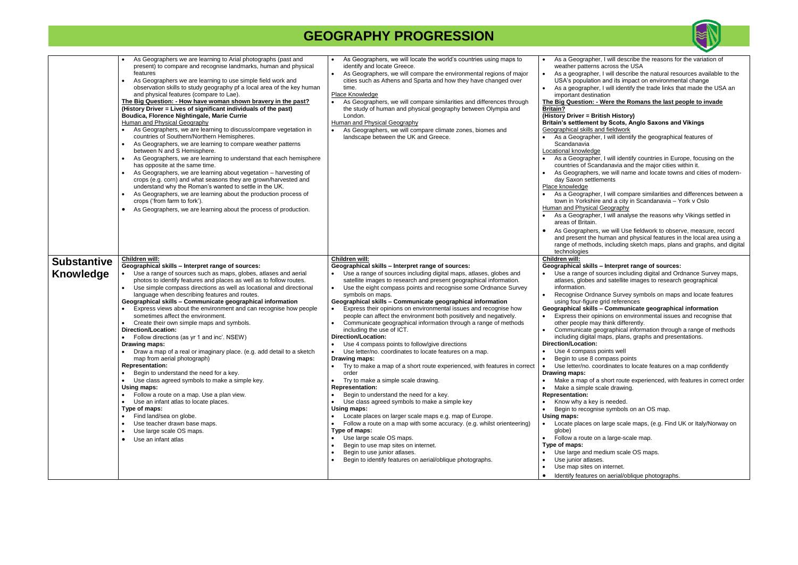|                                 | As Geographers we are learning to Arial photographs (past and<br>present) to compare and recognise landmarks, human and physical<br>features<br>As Geographers we are learning to use simple field work and<br>$\bullet$<br>observation skills to study geography pf a local area of the key human<br>and physical features (compare to Lae).<br>The Big Question: - How have woman shown bravery in the past?<br>(History Driver = Lives of significant individuals of the past)<br>Boudica, Florence Nightingale, Marie Currie<br>Human and Physical Geography<br>As Geographers, we are learning to discuss/compare vegetation in<br>countries of Southern/Northern Hemispheres.<br>As Geographers, we are learning to compare weather patterns<br>$\bullet$<br>between N and S Hemisphere.<br>As Geographers, we are learning to understand that each hemisphere<br>has opposite at the same time.<br>As Geographers, we are learning about vegetation - harvesting of<br>$\bullet$<br>crops (e.g. corn) and what seasons they are grown/harvested and<br>understand why the Roman's wanted to settle in the UK.<br>As Geographers, we are learning about the production process of<br>crops ('from farm to fork').<br>As Geographers, we are learning about the process of production.<br>$\bullet$ | As Geographers, we will locate the world's countries using maps to<br>identify and locate Greece.<br>As Geographers, we will compare the environmental regions of major<br>$\bullet$<br>cities such as Athens and Sparta and how they have changed over<br>time.<br>Place Knowledge<br>As Geographers, we will compare similarities and differences through<br>the study of human and physical geography between Olympia and<br>London.<br>Human and Physical Geography<br>As Geographers, we will compare climate zones, biomes and<br>landscape between the UK and Greece.                                                                                                                                                                                                                                                                                                                                                                                                                                                                                                                                                                                                                                                                                                                                                                                                                                              | As a Geographer,<br>weather patterns a<br>As a geographer, I<br>$\bullet$<br>USA's population a<br>As a geographer, I<br>important destinati<br>The Big Question: - W<br><b>Britain?</b><br>(History Driver = Briti<br><b>Britain's settlement b</b><br>Geographical skills and<br>As a Geographer,<br>Scandanavia<br>Locational knowledge<br>As a Geographer,<br>countries of Scand<br>As Geographers, v<br>day Saxon settlem<br>Place knowledge<br>As a Geographer,<br>town in Yorkshire a<br><b>Human and Physical G</b><br>As a Geographer,<br>areas of Britain.<br>As Geographers, v<br>and present the hu<br>range of methods,<br>technologies                     |
|---------------------------------|----------------------------------------------------------------------------------------------------------------------------------------------------------------------------------------------------------------------------------------------------------------------------------------------------------------------------------------------------------------------------------------------------------------------------------------------------------------------------------------------------------------------------------------------------------------------------------------------------------------------------------------------------------------------------------------------------------------------------------------------------------------------------------------------------------------------------------------------------------------------------------------------------------------------------------------------------------------------------------------------------------------------------------------------------------------------------------------------------------------------------------------------------------------------------------------------------------------------------------------------------------------------------------------------------------|---------------------------------------------------------------------------------------------------------------------------------------------------------------------------------------------------------------------------------------------------------------------------------------------------------------------------------------------------------------------------------------------------------------------------------------------------------------------------------------------------------------------------------------------------------------------------------------------------------------------------------------------------------------------------------------------------------------------------------------------------------------------------------------------------------------------------------------------------------------------------------------------------------------------------------------------------------------------------------------------------------------------------------------------------------------------------------------------------------------------------------------------------------------------------------------------------------------------------------------------------------------------------------------------------------------------------------------------------------------------------------------------------------------------------|--------------------------------------------------------------------------------------------------------------------------------------------------------------------------------------------------------------------------------------------------------------------------------------------------------------------------------------------------------------------------------------------------------------------------------------------------------------------------------------------------------------------------------------------------------------------------------------------------------------------------------------------------------------------------|
| <b>Substantive</b><br>Knowledge | Children will:<br>Geographical skills - Interpret range of sources:<br>Use a range of sources such as maps, globes, atlases and aerial<br>photos to identify features and places as well as to follow routes.<br>Use simple compass directions as well as locational and directional<br>language when describing features and routes.<br>Geographical skills - Communicate geographical information<br>Express views about the environment and can recognise how people<br>sometimes affect the environment.<br>Create their own simple maps and symbols.<br>$\bullet$<br><b>Direction/Location:</b><br>Follow directions (as yr 1 and inc'. NSEW)<br>Drawing maps:<br>Draw a map of a real or imaginary place. (e.g. add detail to a sketch<br>map from aerial photograph)<br><b>Representation:</b><br>Begin to understand the need for a key.<br>Use class agreed symbols to make a simple key.<br>Using maps:<br>Follow a route on a map. Use a plan view.<br>$\bullet$<br>Use an infant atlas to locate places.<br>Type of maps:<br>Find land/sea on globe.<br>Use teacher drawn base maps.<br>Use large scale OS maps.<br>Use an infant atlas<br>$\bullet$                                                                                                                                         | Children will:<br>Geographical skills - Interpret range of sources:<br>Use a range of sources including digital maps, atlases, globes and<br>satellite images to research and present geographical information.<br>Use the eight compass points and recognise some Ordnance Survey<br>$\bullet$<br>symbols on maps.<br>Geographical skills - Communicate geographical information<br>Express their opinions on environmental issues and recognise how<br>people can affect the environment both positively and negatively.<br>Communicate geographical information through a range of methods<br>$\bullet$<br>including the use of ICT.<br>Direction/Location:<br>Use 4 compass points to follow/give directions<br>Use letter/no. coordinates to locate features on a map.<br>$\bullet$<br>Drawing maps:<br>Try to make a map of a short route experienced, with features in correct<br>order<br>Try to make a simple scale drawing.<br>$\bullet$<br><b>Representation:</b><br>Begin to understand the need for a key.<br>Use class agreed symbols to make a simple key<br>Using maps:<br>Locate places on larger scale maps e.g. map of Europe.<br>Follow a route on a map with some accuracy. (e.g. whilst orienteering)<br>Type of maps:<br>Use large scale OS maps.<br>Begin to use map sites on internet.<br>Begin to use junior atlases.<br>Begin to identify features on aerial/oblique photographs.<br>$\bullet$ | Children will:<br>Geographical skills -<br>Use a range of sor<br>atlases, globes an<br>information.<br>Recognise Ordnar<br>using four-figure g<br>Geographical skills -<br>Express their opini<br>other people may t<br>Communicate geo<br>including digital ma<br>Direction/Location:<br>Use 4 compass po<br>Begin to use 8 con<br>Use letter/no. coor<br>Drawing maps:<br>Make a map of a s<br>Make a simple sca<br><b>Representation:</b><br>Know why a key is<br>Begin to recognise<br>Using maps:<br>Locate places on I<br>globe)<br>Follow a route on a<br>Type of maps:<br>Use large and med<br>Use junior atlases.<br>Use map sites on i<br>Identify features or |



er, I will describe the reasons for the variation of across the USA r, I will describe the natural resources available to the n and its impact on environmental change r, I will identify the trade links that made the USA an ation **Were the Romans the last people to invade (History Britain's settlement by Scots, Anglo Saxons and Vikings** nd fieldwork er, I will identify the geographical features of –<br>r, I will identify countries in Europe, focusing on the ndanavia and the major cities within it. , we will name and locate towns and cities of modern- $\mathop{\text{S$ ments}}er, I will compare similarities and differences between a te and a city in Scandanavia – York v Oslo **Geography** er, I will analyse the reasons why Vikings settled in we will Use fieldwork to observe, measure, record human and physical features in the local area using a Is, including sketch maps, plans and graphs, and digital **Geographical skills – Interpret range of sources:** sources including digital and Ordnance Survey maps, and satellite images to research geographical ance Survey symbols on maps and locate features grid references **Geographical skills – Communicate geographical information** inions on environmental issues and recognise that by think differently. eographical information through a range of methods maps, plans, graphs and presentations. points well ompass points ordinates to locate features on a map confidently short route experienced, with features in correct order cale drawing. is needed. ise symbols on an OS map. large scale maps, (e.g. Find UK or Italy/Norway on n a large-scale map. edium scale OS maps. n internet. on aerial/oblique photographs.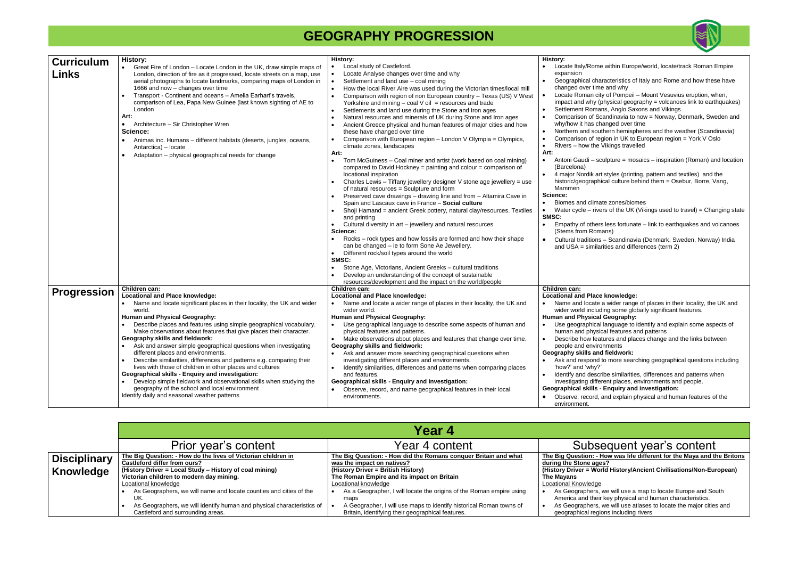| <b>Curriculum</b>  | <b>History:</b>                                                                                                      | <b>History:</b>                                                                                                                                   | <b>History:</b>                                         |
|--------------------|----------------------------------------------------------------------------------------------------------------------|---------------------------------------------------------------------------------------------------------------------------------------------------|---------------------------------------------------------|
|                    | Great Fire of London – Locate London in the UK, draw simple maps of                                                  | Local study of Castleford.                                                                                                                        | Locate Italy/Rome                                       |
| Links              | London, direction of fire as it progressed, locate streets on a map, use                                             | Locate Analyse changes over time and why<br>$\bullet$                                                                                             | expansion                                               |
|                    | aerial photographs to locate landmarks, comparing maps of London in                                                  | Settlement and land use - coal mining<br>$\bullet$                                                                                                | Geographical chara                                      |
|                    | 1666 and now - changes over time                                                                                     | How the local River Aire was used during the Victorian times/local mill<br>$\bullet$                                                              | changed over time                                       |
|                    | Transport - Continent and oceans - Amelia Earhart's travels,                                                         | Comparison with region of non European country - Texas (US) V West<br>$\bullet$                                                                   | Locate Roman city                                       |
|                    | comparison of Lea, Papa New Guinee (last known sighting of AE to                                                     | Yorkshire and mining $-$ coal V oil = resources and trade                                                                                         | impact and why (ph                                      |
|                    | London                                                                                                               | Settlements and land use during the Stone and Iron ages<br>$\bullet$                                                                              | <b>Settlement Romans</b>                                |
|                    | Art:                                                                                                                 | Natural resources and minerals of UK during Stone and Iron ages<br>$\bullet$                                                                      | Comparison of Sca                                       |
|                    | Architecture - Sir Christopher Wren<br>$\bullet$                                                                     | Ancient Greece physical and human features of major cities and how                                                                                | why/how it has cha                                      |
|                    | Science:                                                                                                             | these have changed over time                                                                                                                      | Northern and south<br>$\bullet$                         |
|                    | Animas inc. Humans – different habitats (deserts, jungles, oceans,<br>$\bullet$                                      | Comparison with European region - London V Olympia = Olympics,<br>$\bullet$                                                                       | Comparison of regi<br>$\bullet$                         |
|                    | Antarctica) - locate                                                                                                 | climate zones, landscapes                                                                                                                         | Rivers – how the V<br>$\bullet$                         |
|                    | Adaptation - physical geographical needs for change<br>$\bullet$                                                     | Art:                                                                                                                                              | Art:                                                    |
|                    |                                                                                                                      | Tom McGuiness - Coal miner and artist (work based on coal mining)<br>$\bullet$<br>compared to David Hockney = painting and colour = comparison of | Antoni Gaudi - scu<br>$\bullet$<br>(Barcelona)          |
|                    |                                                                                                                      | locational inspiration                                                                                                                            | 4 major Nordik art s                                    |
|                    |                                                                                                                      | Charles Lewis - Tiffany jewellery designer V stone age jewellery = use<br>$\bullet$<br>of natural resources = Sculpture and form                  | historic/geographic<br>Mammen                           |
|                    |                                                                                                                      | Preserved cave drawings - drawing line and from - Altamira Cave in                                                                                | Science:                                                |
|                    |                                                                                                                      | Spain and Lascaux cave in France - Social culture                                                                                                 | Biomes and climate                                      |
|                    |                                                                                                                      | Shoji Hamand = ancient Greek pottery, natural clay/resources. Textiles                                                                            | Water cycle – rivers                                    |
|                    |                                                                                                                      | and printing                                                                                                                                      | SMSC:                                                   |
|                    |                                                                                                                      | Cultural diversity in art - jewellery and natural resources<br>$\bullet$                                                                          | Empathy of others                                       |
|                    |                                                                                                                      | Science:                                                                                                                                          | (Stems from Roma                                        |
|                    |                                                                                                                      | Rocks – rock types and how fossils are formed and how their shape                                                                                 | Cultural traditions -<br>$\bullet$                      |
|                    |                                                                                                                      | can be changed - ie to form Sone Ae Jewellery.                                                                                                    | and $USA =$ similarit                                   |
|                    |                                                                                                                      | Different rock/soil types around the world<br>$\bullet$                                                                                           |                                                         |
|                    |                                                                                                                      | SMSC:                                                                                                                                             |                                                         |
|                    |                                                                                                                      | Stone Age, Victorians, Ancient Greeks - cultural traditions                                                                                       |                                                         |
|                    |                                                                                                                      | Develop an understanding of the concept of sustainable                                                                                            |                                                         |
|                    |                                                                                                                      | resources/development and the impact on the world/people                                                                                          |                                                         |
| <b>Progression</b> | Children can:                                                                                                        | Children can:                                                                                                                                     | Children can:                                           |
|                    | <b>Locational and Place knowledge:</b>                                                                               | <b>Locational and Place knowledge:</b>                                                                                                            | <b>Locational and Place I</b>                           |
|                    | Name and locate significant places in their locality, the UK and wider<br>$\bullet$                                  | Name and locate a wider range of places in their locality, the UK and                                                                             | Name and locate a                                       |
|                    | world.                                                                                                               | wider world.                                                                                                                                      | wider world includir                                    |
|                    | Human and Physical Geography:                                                                                        | Human and Physical Geography:                                                                                                                     | <b>Human and Physical G</b>                             |
|                    | Describe places and features using simple geographical vocabulary.                                                   | Use geographical language to describe some aspects of human and                                                                                   | Use geographical la                                     |
|                    | Make observations about features that give places their character.                                                   | physical features and patterns.                                                                                                                   | human and physica                                       |
|                    | Geography skills and fieldwork:                                                                                      | Make observations about places and features that change over time.                                                                                | Describe how featu                                      |
|                    | Ask and answer simple geographical questions when investigating                                                      | Geography skills and fieldwork:                                                                                                                   | people and environ                                      |
|                    | different places and environments.                                                                                   | Ask and answer more searching geographical questions when<br>$\bullet$                                                                            | Geography skills and                                    |
|                    | Describe similarities, differences and patterns e.g. comparing their                                                 | investigating different places and environments.                                                                                                  | Ask and respond to                                      |
|                    | lives with those of children in other places and cultures                                                            | Identify similarities, differences and patterns when comparing places                                                                             | 'how?' and 'why?'                                       |
|                    | <b>Geographical skills - Enquiry and investigation:</b>                                                              | and features.                                                                                                                                     | Identify and describ                                    |
|                    | Develop simple fieldwork and observational skills when studying the<br>geography of the school and local environment | <b>Geographical skills - Enquiry and investigation:</b>                                                                                           | investigating differe<br><b>Geographical skills - E</b> |
|                    | Identify daily and seasonal weather patterns                                                                         | Observe, record, and name geographical features in their local<br>$\bullet$                                                                       |                                                         |
|                    |                                                                                                                      | environments.                                                                                                                                     | Observe, record, ar<br>environment.                     |

|                     | Year 4                                                                 |                                                                      |                         |
|---------------------|------------------------------------------------------------------------|----------------------------------------------------------------------|-------------------------|
|                     | Prior year's content                                                   | Year 4 content                                                       | <b>Subse</b>            |
| <b>Disciplinary</b> | The Big Question: - How do the lives of Victorian children in          | The Big Question: - How did the Romans conguer Britain and what      | The Big Question: - Hov |
|                     | Castleford differ from ours?                                           | was the impact on natives?                                           | during the Stone ages?  |
| Knowledge           | (History Driver = Local Study - History of coal mining)                | (History Driver = British History)                                   | (History Driver = World |
|                     | Victorian children to modern day mining.                               | The Roman Empire and its impact on Britain                           | The Mavans              |
|                     | Locational knowledge                                                   | Locational knowledge                                                 | Locational Knowledge    |
|                     | As Geographers, we will name and locate counties and cities of the     | As a Geographer, I will locate the origins of the Roman empire using | As Geographers, we      |
|                     | UK.                                                                    | maps                                                                 | America and their ke    |
|                     | As Geographers, we will identify human and physical characteristics of | A Geographer, I will use maps to identify historical Roman towns of  | As Geographers, we      |
|                     | Castleford and surrounding areas.                                      | Britain, identifying their geographical features.                    | geographical regions    |



within Europe/world, locate/track Roman Empire acteristics of Italy and Rome and how these have and why of Pompeii – Mount Vesuvius eruption, when,  $h$ ysical geography = volcanoes link to earthquakes) is, Anglo Saxons and Vikings andinavia to now = Norway, Denmark, Sweden and anged over time hern hemispheres and the weather (Scandinavia)  $\mu$ ion in UK to European region = York V Oslo ikings travelled ulpture = mosaics – inspiration (Roman) and location styles (printing, pattern and textiles) and the cal culture behind them = Osebur, Borre, Vang, te zones/biomes  $rs$  of the UK (Vikings used to travel) = Changing state less fortunate – link to earthquakes and volcanoes ins) - Scandinavia (Denmark, Sweden, Norway) India ties and differences (term 2) knowledge: wider range of places in their locality, the UK and ng some globally significant features. **Geography:** anguage to identify and explain some aspects of al features and patterns ares and places change and the links between nments **fieldwork:**  $\alpha$  more searching geographical questions including be similarities, differences and patterns when ent places, environments and people. **Geographical skills - Enquiry and investigation:** nd explain physical and human features of the

### equent year's content

**How was life different for the Maya and the Britons** 

**(History Driver = World History/Ancient Civilisations/Non-European)**

we will use a map to locate Europe and South r key physical and human characteristics. we will use atlases to locate the major cities and ions including rivers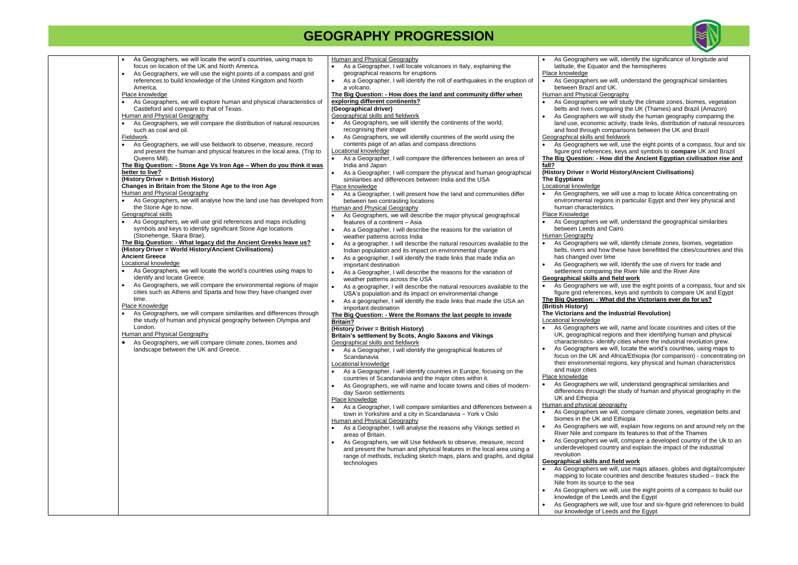| As Geographers, we will locate the word's countries, using maps to<br>focus on location of the UK and North America.<br>As Geographers, we will use the eight points of a compass and grid<br>$\bullet$<br>references to build knowledge of the United Kingdom and North<br>America.<br>Place knowledge<br>As Geographers, we will explore human and physical characteristics of<br>Castleford and compare to that of Texas.<br><b>Human and Physical Geography</b><br>As Geographers, we will compare the distribution of natural resources<br>such as coal and oil.<br>Fieldwork<br>As Geographers, we will use fieldwork to observe, measure, record<br>and present the human and physical features in the local area. (Trip to<br>Queens Mill).<br>The Big Question: - Stone Age Vs Iron Age - When do you think it was<br>better to live?<br>(History Driver = British History)<br>Changes in Britain from the Stone Age to the Iron Age<br>Human and Physical Geography<br>As Geographers, we will analyse how the land use has developed from<br>the Stone Age to now.<br>Geographical skills<br>As Geographers, we will use grid references and maps including<br>symbols and keys to identify significant Stone Age locations<br>(Stonehenge, Skara Brae).<br>The Big Question: - What legacy did the Ancient Greeks leave us?<br>(History Driver = World History/Ancient Civilisations)<br><b>Ancient Greece</b><br>Locational knowledge<br>As Geographers, we will locate the world's countries using maps to<br>identify and locate Greece.<br>As Geographers, we will compare the environmental regions of major<br>cities such as Athens and Sparta and how they have changed over<br>time.<br>Place Knowledge<br>As Geographers, we will compare similarities and differences through<br>the study of human and physical geography between Olympia and<br>London.<br>Human and Physical Geography<br>As Geographers, we will compare climate zones, biomes and<br>$\bullet$<br>landscape between the UK and Greece. | <b>Human and Physical Geography</b><br>As a Geographer, I will locate volcanoes in Italy, explaining the<br>geographical reasons for eruptions<br>As a Geographer, I will identify the roll of earthquakes in the eruption of<br>a volcano.<br>The Big Question: - How does the land and community differ when<br>exploring different continents?<br>(Geographical driver)<br>Geographical skills and fieldwork<br>As Geographers, we will identify the continents of the world,<br>recognising their shape<br>As Geographers, we will identify countries of the world using the<br>contents page of an atlas and compass directions<br>Locational knowledge<br>As a Geographer, I will compare the differences between an area of<br>India and Japan<br>As a Geographer, I will compare the physical and human geographical<br>similarities and differences between India and the USA<br>Place knowledge<br>As a Geographer, I will present how the land and communities differ<br>between two contrasting locations<br>Human and Physical Geography<br>As Geographers, we will describe the major physical geographical<br>features of a continent – Asia<br>As a Geographer, I will describe the reasons for the variation of<br>weather patterns across India<br>As a geographer, I will describe the natural resources available to the<br>Indian population and its impact on environmental change<br>As a geographer, I will identify the trade links that made India an<br>important destination<br>As a Geographer, I will describe the reasons for the variation of<br>weather patterns across the USA<br>As a geographer, I will describe the natural resources available to the<br>$\bullet$<br>USA's population and its impact on environmental change<br>As a geographer, I will identify the trade links that made the USA an<br>$\bullet$<br>important destination<br>The Big Question: - Were the Romans the last people to invade<br><b>Britain?</b><br>(History Driver = British History)<br>Britain's settlement by Scots, Anglo Saxons and Vikings<br>Geographical skills and fieldwork<br>As a Geographer, I will identify the geographical features of<br>$\bullet$<br>Scandanavia<br>Locational knowledge<br>As a Geographer, I will identify countries in Europe, focusing on the<br>countries of Scandanavia and the major cities within it.<br>As Geographers, we will name and locate towns and cities of modern-<br>day Saxon settlements<br>Place knowledge<br>As a Geographer, I will compare similarities and differences between a<br>town in Yorkshire and a city in Scandanavia - York v Oslo<br>Human and Physical Geography<br>As a Geographer, I will analyse the reasons why Vikings settled in<br>areas of Britain.<br>As Geographers, we will Use fieldwork to observe, measure, record<br>and present the human and physical features in the local area using a<br>range of methods, including sketch maps, plans and graphs, and digital<br>technologies | As Geographers<br>latitude, the Equa<br>Place knowledge<br>As Geographers<br>between Brazil ar<br>Human and Physical<br>As Geographers<br>belts and rives co<br>As Geographers<br>land use, econom<br>and food through<br>Geographical skills an<br>As Geographers<br>figure grid referer<br>The Big Question: - I<br>fall?<br>(History Driver = Wo<br><b>The Egyptians</b><br>Locational knowledge<br>As Geographers,<br>environmental reg<br>human characteri<br>Place Knowledge<br>As Geographers<br>between Leeds a<br>Human Geography<br>As Geographers<br>belts, rivers and h<br>has changed ove<br>As Geographers<br>settlement compa<br><b>Geographical skills a</b><br>As Geographers<br>figure grid referer<br>The Big Question: - \<br>(British History)<br>The Victorians and t<br>Locational knowledge<br>As Geographers<br>UK, geographical<br>characteristics-ic<br>As Geographers<br>focus on the UK a<br>their environment<br>and major cities<br>Place knowledge<br>As Geographers<br>differences throug<br>UK and Ethiopia<br>Human and physical o<br>As Geographers<br>biomes in the UK<br>revolution |
|------------------------------------------------------------------------------------------------------------------------------------------------------------------------------------------------------------------------------------------------------------------------------------------------------------------------------------------------------------------------------------------------------------------------------------------------------------------------------------------------------------------------------------------------------------------------------------------------------------------------------------------------------------------------------------------------------------------------------------------------------------------------------------------------------------------------------------------------------------------------------------------------------------------------------------------------------------------------------------------------------------------------------------------------------------------------------------------------------------------------------------------------------------------------------------------------------------------------------------------------------------------------------------------------------------------------------------------------------------------------------------------------------------------------------------------------------------------------------------------------------------------------------------------------------------------------------------------------------------------------------------------------------------------------------------------------------------------------------------------------------------------------------------------------------------------------------------------------------------------------------------------------------------------------------------------------------------------------------------------------------------------------------------|-----------------------------------------------------------------------------------------------------------------------------------------------------------------------------------------------------------------------------------------------------------------------------------------------------------------------------------------------------------------------------------------------------------------------------------------------------------------------------------------------------------------------------------------------------------------------------------------------------------------------------------------------------------------------------------------------------------------------------------------------------------------------------------------------------------------------------------------------------------------------------------------------------------------------------------------------------------------------------------------------------------------------------------------------------------------------------------------------------------------------------------------------------------------------------------------------------------------------------------------------------------------------------------------------------------------------------------------------------------------------------------------------------------------------------------------------------------------------------------------------------------------------------------------------------------------------------------------------------------------------------------------------------------------------------------------------------------------------------------------------------------------------------------------------------------------------------------------------------------------------------------------------------------------------------------------------------------------------------------------------------------------------------------------------------------------------------------------------------------------------------------------------------------------------------------------------------------------------------------------------------------------------------------------------------------------------------------------------------------------------------------------------------------------------------------------------------------------------------------------------------------------------------------------------------------------------------------------------------------------------------------------------------------------------------------------------------------------------------------------------------------------------------------------------------------------------------------------------------------------------------------------------------------------------------------------------------------------------------------------------------|---------------------------------------------------------------------------------------------------------------------------------------------------------------------------------------------------------------------------------------------------------------------------------------------------------------------------------------------------------------------------------------------------------------------------------------------------------------------------------------------------------------------------------------------------------------------------------------------------------------------------------------------------------------------------------------------------------------------------------------------------------------------------------------------------------------------------------------------------------------------------------------------------------------------------------------------------------------------------------------------------------------------------------------------------------------------------------------------------------------------------|
|                                                                                                                                                                                                                                                                                                                                                                                                                                                                                                                                                                                                                                                                                                                                                                                                                                                                                                                                                                                                                                                                                                                                                                                                                                                                                                                                                                                                                                                                                                                                                                                                                                                                                                                                                                                                                                                                                                                                                                                                                                    |                                                                                                                                                                                                                                                                                                                                                                                                                                                                                                                                                                                                                                                                                                                                                                                                                                                                                                                                                                                                                                                                                                                                                                                                                                                                                                                                                                                                                                                                                                                                                                                                                                                                                                                                                                                                                                                                                                                                                                                                                                                                                                                                                                                                                                                                                                                                                                                                                                                                                                                                                                                                                                                                                                                                                                                                                                                                                                                                                                                                     | As Geographers<br>River Nile and co<br>As Geographers<br>underdeveloped o<br><b>Geographical skills a</b><br>As Geographers<br>mapping to locate<br>Nile from its soure<br>As Geographers<br>knowledge of the<br>As Geographers<br>our knowledge of                                                                                                                                                                                                                                                                                                                                                                                                                                                                                                                                                                                                                                                                                                                                                                                                                                                                       |



we will, identify the significance of longitude and ator and the hemispheres

we will, understand the geographical similarities nd UK.

Geography

we will study the climate zones, biomes, vegetation belther and Brazil (Amazon) and Brazil (Amazon) we will study the human geography comparing the nic activity, trade links, distribution of natural resources comparisons between the UK and Brazil nd fieldwork

we will, use the eight points of a compass, four and six nces, keys and symbols to **compare** UK and Brazil **How did the Ancient Egyptian civilisation rise and** 

### **Irld History/Ancient Civilisations)**

we will use a map to locate Africa concentrating on gions in particular Egypt and their key physical and istics.

we will, understand the geographical similarities and Cairo.

we will, identify climate zones, biomes, vegetation how these have benefitted the cities/countries and this er time

we will, Identify the use of rivers for trade and aring the River Nile and the River Aire

### and field work

we will, use the eight points of a compass, four and six nces, keys and symbols to compare UK and Egypt **What did the Victorians ever do for us?** 

### **The Industrial Revolution)**

we will, name and locate countries and cities of the I regions and their identifying human and physical dentify cities where the industrial revolution grew. we will, locate the world's countries, using maps to and Africa/Ethiopia (for comparison) - concentrating on tal regions, key physical and human characteristics

we will, understand geographical similarities and gh the study of human and physical geography in the

### geography

we will, compare climate zones, vegetation belts and and Ethiopia

we will, explain how regions on and around rely on the mpare its features to that of the Thames

we will, compare a developed country of the Uk to an country and explain the impact of the industrial

### **and field work**

we will, use maps atlases, globes and digital/computer e countries and describe features studied – track the ce to the sea

we will, use the eight points of a compass to build our Leeds and the Egypt

we will, use four and six-figure grid references to build f Leeds and the Egypt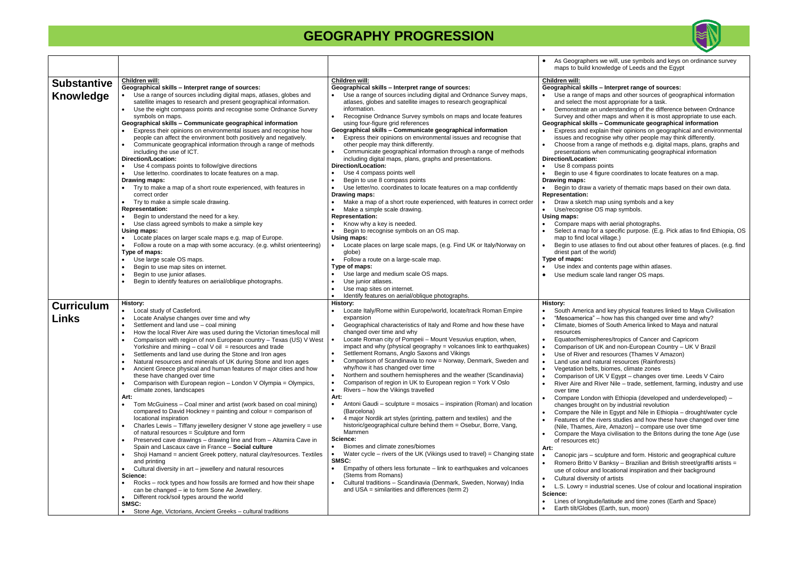|                                   |                                                                                                                                                                                                                                                                                                                                                                                                                                                                                                                                                                                                                                                                                                                                                                                                                                                                                                                                                                                                                                                                                                                                                                                                                                                                                                                                                                                                                                                                                                                                                                                                                       |                                                                                                                                                                                                                                                                                                                                                                                                                                                                                                                                                                                                                                                                                                                                                                                                                                                                                                                                                                                                                                                                                                                                                                                                                                                                                                                                                                                                                                       | As Geographers w<br>$\bullet$<br>maps to build know                                                                                                                                                                                                                                                                                                                                                                                                                                                                                                                                                                                                                                                                                                                              |
|-----------------------------------|-----------------------------------------------------------------------------------------------------------------------------------------------------------------------------------------------------------------------------------------------------------------------------------------------------------------------------------------------------------------------------------------------------------------------------------------------------------------------------------------------------------------------------------------------------------------------------------------------------------------------------------------------------------------------------------------------------------------------------------------------------------------------------------------------------------------------------------------------------------------------------------------------------------------------------------------------------------------------------------------------------------------------------------------------------------------------------------------------------------------------------------------------------------------------------------------------------------------------------------------------------------------------------------------------------------------------------------------------------------------------------------------------------------------------------------------------------------------------------------------------------------------------------------------------------------------------------------------------------------------------|---------------------------------------------------------------------------------------------------------------------------------------------------------------------------------------------------------------------------------------------------------------------------------------------------------------------------------------------------------------------------------------------------------------------------------------------------------------------------------------------------------------------------------------------------------------------------------------------------------------------------------------------------------------------------------------------------------------------------------------------------------------------------------------------------------------------------------------------------------------------------------------------------------------------------------------------------------------------------------------------------------------------------------------------------------------------------------------------------------------------------------------------------------------------------------------------------------------------------------------------------------------------------------------------------------------------------------------------------------------------------------------------------------------------------------------|----------------------------------------------------------------------------------------------------------------------------------------------------------------------------------------------------------------------------------------------------------------------------------------------------------------------------------------------------------------------------------------------------------------------------------------------------------------------------------------------------------------------------------------------------------------------------------------------------------------------------------------------------------------------------------------------------------------------------------------------------------------------------------|
| <b>Substantive</b><br>Knowledge   | Children will:<br>Geographical skills - Interpret range of sources:<br>Use a range of sources including digital maps, atlases, globes and<br>$\bullet$<br>satellite images to research and present geographical information.<br>Use the eight compass points and recognise some Ordnance Survey<br>symbols on maps.<br>Geographical skills - Communicate geographical information<br>Express their opinions on environmental issues and recognise how<br>people can affect the environment both positively and negatively.<br>Communicate geographical information through a range of methods<br>including the use of ICT.<br>Direction/Location:                                                                                                                                                                                                                                                                                                                                                                                                                                                                                                                                                                                                                                                                                                                                                                                                                                                                                                                                                                     | Children will:<br>Geographical skills - Interpret range of sources:<br>Use a range of sources including digital and Ordnance Survey maps,<br>atlases, globes and satellite images to research geographical<br>information.<br>Recognise Ordnance Survey symbols on maps and locate features<br>$\bullet$<br>using four-figure grid references<br>Geographical skills - Communicate geographical information<br>Express their opinions on environmental issues and recognise that<br>$\bullet$<br>other people may think differently.<br>Communicate geographical information through a range of methods<br>$\bullet$<br>including digital maps, plans, graphs and presentations.                                                                                                                                                                                                                                                                                                                                                                                                                                                                                                                                                                                                                                                                                                                                                      | Children will:<br>Geographical skills -<br>Use a range of map<br>and select the mos<br>Demonstrate an un<br>$\bullet$<br>Survey and other n<br>Geographical skills -<br>Express and explai<br>issues and recogni<br>Choose from a rane<br>presentations wher<br>Direction/Location:                                                                                                                                                                                                                                                                                                                                                                                                                                                                                              |
|                                   | Use 4 compass points to follow/give directions<br>Use letter/no. coordinates to locate features on a map.<br>Drawing maps:<br>Try to make a map of a short route experienced, with features in<br>correct order<br>Try to make a simple scale drawing.<br><b>Representation:</b><br>Begin to understand the need for a key.<br>Use class agreed symbols to make a simple key<br>$\bullet$<br>Using maps:<br>Locate places on larger scale maps e.g. map of Europe.<br>Follow a route on a map with some accuracy. (e.g. whilst orienteering)<br>Type of maps:<br>Use large scale OS maps.<br>Begin to use map sites on internet.<br>Begin to use junior atlases.<br>Begin to identify features on aerial/oblique photographs.                                                                                                                                                                                                                                                                                                                                                                                                                                                                                                                                                                                                                                                                                                                                                                                                                                                                                         | Direction/Location:<br>Use 4 compass points well<br>Begin to use 8 compass points<br>Use letter/no. coordinates to locate features on a map confidently<br>$\bullet$<br>Drawing maps:<br>Make a map of a short route experienced, with features in correct order<br>Make a simple scale drawing.<br><b>Representation:</b><br>Know why a key is needed.<br>Begin to recognise symbols on an OS map.<br>Using maps:<br>Locate places on large scale maps, (e.g. Find UK or Italy/Norway on<br>globe)<br>Follow a route on a large-scale map.<br>$\bullet$<br>Type of maps:<br>Use large and medium scale OS maps.<br>Use junior atlases.<br>٠<br>Use map sites on internet.<br>Identify features on aerial/oblique photographs.                                                                                                                                                                                                                                                                                                                                                                                                                                                                                                                                                                                                                                                                                                        | Use 8 compass poi<br>Begin to use 4 figure<br>Drawing maps:<br>Begin to draw a var<br><b>Representation:</b><br>Draw a sketch map<br>Use/recognise OS<br>Using maps:<br>Compare maps wit<br>Select a map for a<br>map to find local vil<br>Begin to use atlase<br>driest part of the wo<br>Type of maps:<br>Use index and cont<br>Use medium scale<br>$\bullet$                                                                                                                                                                                                                                                                                                                                                                                                                  |
| <b>Curriculum</b><br><b>Links</b> | History:<br>Local study of Castleford.<br>$\bullet$<br>Locate Analyse changes over time and why<br>$\bullet$<br>Settlement and land use - coal mining<br>How the local River Aire was used during the Victorian times/local mill<br>Comparison with region of non European country - Texas (US) V West<br>Yorkshire and mining $-$ coal V oil = resources and trade<br>Settlements and land use during the Stone and Iron ages<br>$\bullet$<br>Natural resources and minerals of UK during Stone and Iron ages<br>Ancient Greece physical and human features of major cities and how<br>these have changed over time<br>Comparison with European region - London V Olympia = Olympics,<br>climate zones, landscapes<br>Art:<br>Tom McGuiness - Coal miner and artist (work based on coal mining)<br>$\bullet$<br>compared to David Hockney = painting and colour = comparison of<br>locational inspiration<br>Charles Lewis - Tiffany jewellery designer V stone age jewellery = use<br>of natural resources = Sculpture and form<br>Preserved cave drawings - drawing line and from - Altamira Cave in<br>Spain and Lascaux cave in France - Social culture<br>Shoji Hamand = ancient Greek pottery, natural clay/resources. Textiles<br>and printing<br>Cultural diversity in art - jewellery and natural resources<br>$\bullet$<br>Science:<br>Rocks – rock types and how fossils are formed and how their shape<br>$\bullet$<br>can be changed - ie to form Sone Ae Jewellery.<br>Different rock/soil types around the world<br>$\bullet$<br>SMSC:<br>Stone Age, Victorians, Ancient Greeks - cultural traditions | <b>History:</b><br>Locate Italy/Rome within Europe/world, locate/track Roman Empire<br>expansion<br>Geographical characteristics of Italy and Rome and how these have<br>$\bullet$<br>changed over time and why<br>Locate Roman city of Pompeii - Mount Vesuvius eruption, when,<br>$\bullet$<br>impact and why (physical geography = volcanoes link to earthquakes)<br>Settlement Romans, Anglo Saxons and Vikings<br>Comparison of Scandinavia to now = Norway, Denmark, Sweden and<br>$\bullet$<br>why/how it has changed over time<br>Northern and southern hemispheres and the weather (Scandinavia)<br>$\bullet$<br>Comparison of region in UK to European region = York V Oslo<br>$\bullet$<br>Rivers - how the Vikings travelled<br>$\bullet$<br>Art:<br>Antoni Gaudi – sculpture = mosaics – inspiration (Roman) and location<br>$\bullet$<br>(Barcelona)<br>4 major Nordik art styles (printing, pattern and textiles) and the<br>$\bullet$<br>historic/geographical culture behind them = Osebur, Borre, Vang,<br>Mammen<br>Science:<br>Biomes and climate zones/biomes<br>$\bullet$<br>Water cycle – rivers of the UK (Vikings used to travel) = Changing state<br>SMSC:<br>Empathy of others less fortunate – link to earthquakes and volcanoes<br>$\bullet$<br>(Stems from Romans)<br>Cultural traditions - Scandinavia (Denmark, Sweden, Norway) India<br>$\bullet$<br>and USA = similarities and differences (term 2) | History:<br>South America and<br>"Mesoamerica" - h<br>$\bullet$<br>Climate, biomes of<br>$\bullet$<br>resources<br>Equator/hemispher<br>$\bullet$<br>Comparison of UK<br>$\bullet$<br>Use of River and re<br>$\bullet$<br>Land use and natur<br>٠<br>Vegetation belts, bi<br>$\bullet$<br>Comparison of UK<br>$\bullet$<br>River Aire and Rive<br>over time<br>Compare London v<br>changes brought of<br>Compare the Nile in<br>Features of the rive<br>(Nile, Thames, Aire<br>Compare the Maya<br>$\bullet$<br>of resources etc)<br>Art:<br>Canopic jars - scul<br>Romero Britto V Ba<br>$\bullet$<br>use of colour and lo<br>Cultural diversity of<br>$\bullet$<br>$L.S.$ Lowry = indust<br>$\bullet$<br>Science:<br>Lines of longitude/l<br>$\bullet$<br>Earth tilt/Globes (E |



e will, use symbols and keys on ordinance survey wledge of Leeds and the Egypt

**Interpret range of sources:** ps and other sources of geographical information st appropriate for a task. nderstanding of the difference between Ordnance naps and when it is most appropriate to use each. **Geographical skills – Communicate geographical information** in their opinions on geographical and environmental ise why other people may think differently.  $\alpha$  of methods e.g. digital maps, plans, graphs and n communicating geographical information ints Ire coordinates to locate features on a map. riety of thematic maps based on their own data. p using symbols and a key map symbols. th aerial photographs. specific purpose. (E.g. Pick atlas to find Ethiopia, OS illage.) es to find out about other features of places. (e.g. find orld) tents page within atlases. land ranger OS maps. I key physical features linked to Maya Civilisation how has this changed over time and why? **South America linked to Maya and natural** res/tropics of Cancer and Capricorn and non-European Country – UK V Brazil esources (Thames V Amazon) ral resources (Rainforests) iomes, climate zones V Egypt – changes over time. Leeds V Cairo er Nile – trade, settlement, farming, industry and use with Ethiopia (developed and underdeveloped) – on by industrial revolution

in Egypt and Nile in Ethiopia – drought/water cycle ers studies and how these have changed over time e, Amazon) – compare use over time civilisation to the Britons during the tone Age (use

Ipture and form. Historic and geographical culture anksy – Brazilian and British street/graffiti artists = locational inspiration and their background *i* artists

trial scenes. Use of colour and locational inspiration

latitude and time zones (Earth and Space) Earth, sun, moon)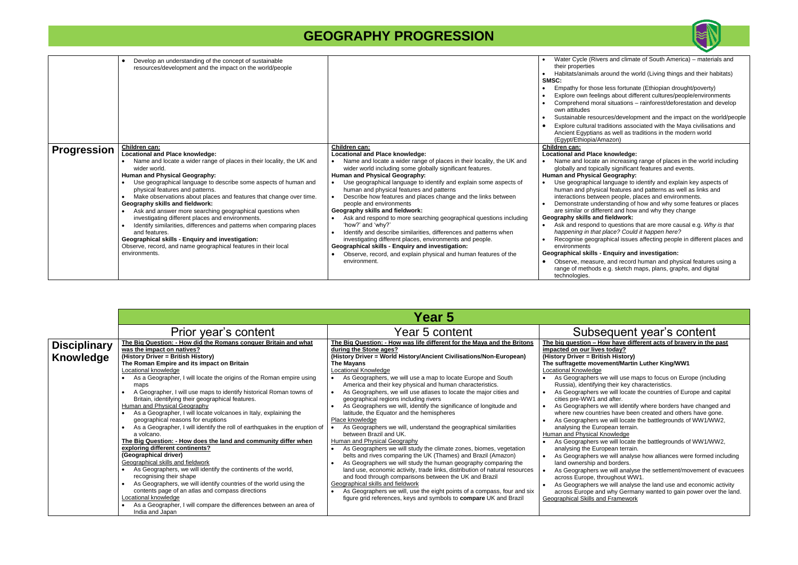to questions that are more causal e.g. Why is that *happening in that place? Could it happen here?* 

iphical issues affecting people in different places and

#### **Enquiry and investigation:**

<sub>i</sub>, and record human and physical features using a e.g. sketch maps, plans, graphs, and digital

|                    | Develop an understanding of the concept of sustainable<br>$\bullet$<br>resources/development and the impact on the world/people                                                                                                                                                                                                                                                                                                                                                                                                                                                                                                                                                                                                                           |                                                                                                                                                                                                                                                                                                                                                                                                                                                                                                                                                                                                                                                                                                                                                                                                                                                                             | Water Cycle (Rive<br>their properties<br>Habitats/animals a<br>SMSC:<br>Empathy for those<br>Explore own feelin<br>Comprehend mora<br>own attitudes<br>Sustainable resour<br>Explore cultural tra<br><b>Ancient Egyptians</b><br>(Egypt/Ethiopia/An                                                                                                                                                                             |
|--------------------|-----------------------------------------------------------------------------------------------------------------------------------------------------------------------------------------------------------------------------------------------------------------------------------------------------------------------------------------------------------------------------------------------------------------------------------------------------------------------------------------------------------------------------------------------------------------------------------------------------------------------------------------------------------------------------------------------------------------------------------------------------------|-----------------------------------------------------------------------------------------------------------------------------------------------------------------------------------------------------------------------------------------------------------------------------------------------------------------------------------------------------------------------------------------------------------------------------------------------------------------------------------------------------------------------------------------------------------------------------------------------------------------------------------------------------------------------------------------------------------------------------------------------------------------------------------------------------------------------------------------------------------------------------|---------------------------------------------------------------------------------------------------------------------------------------------------------------------------------------------------------------------------------------------------------------------------------------------------------------------------------------------------------------------------------------------------------------------------------|
| <b>Progression</b> | Children can:<br><b>Locational and Place knowledge:</b><br>Name and locate a wider range of places in their locality, the UK and<br>wider world.<br>Human and Physical Geography:<br>Use geographical language to describe some aspects of human and<br>physical features and patterns.<br>Make observations about places and features that change over time.<br>Geography skills and fieldwork:<br>Ask and answer more searching geographical questions when<br>investigating different places and environments.<br>Identify similarities, differences and patterns when comparing places<br>and features.<br><b>Geographical skills - Enquiry and investigation:</b><br>Observe, record, and name geographical features in their local<br>environments. | <b>Children can:</b><br>Locational and Place knowledge:<br>Name and locate a wider range of places in their locality, the UK and<br>wider world including some globally significant features.<br>Human and Physical Geography:<br>Use geographical language to identify and explain some aspects of<br>$\bullet$<br>human and physical features and patterns<br>Describe how features and places change and the links between<br>$\bullet$<br>people and environments<br>Geography skills and fieldwork:<br>Ask and respond to more searching geographical questions including<br>'how?' and 'why?'<br>Identify and describe similarities, differences and patterns when<br>investigating different places, environments and people.<br>Geographical skills - Enquiry and investigation:<br>Observe, record, and explain physical and human features of the<br>environment. | Children can:<br><b>Locational and Place</b><br>Name and locate a<br>globally and topica<br><b>Human and Physical</b><br>Use geographical<br>human and physic<br>interactions betwe<br>Demonstrate unde<br>are similar or differ<br>Geography skills and<br>Ask and respond t<br>happening in that<br>Recognise geogra<br>environments<br><b>Geographical skills -</b><br>Observe, measure<br>range of methods<br>technologies. |

#### **The big question – How have different acts of bravery in the past impack on the set of the set of the set of the set of interaction in the set of the set of the set of the set of the set of the set of the set of the set of the set of the set of the set of the set of the set of the set o**

### **The Surfall Martin Luther King/WW1**

we will use maps to focus on Europe (including ing their key characteristics.

we will locate the countries of Europe and capital and after.

s we will identify where borders have changed and itries have been created and others have gone.

we will locate the battlegrounds of WW1/WW2,

we will locate the battlegrounds of WW1/WW2, ropean terrain.

we will analyse how alliances were formed including and borders.

i we will analyse the settlement/movement of evacuees throughout WW1.

we will analyse the land use and economic activity nd why Germany wanted to gain power over the land. nd Framework

|                                         |                                                                                                                                                                                                                                                                                                                                                                                                                                                                                                                                                                                                                                                                                                                                                                                                                                                                                                                                                                                                                                                                                                                                                                                | <b>Year 5</b>                                                                                                                                                                                                                                                                                                                                                                                                                                                                                                                                                                                                                                                                                                                                                                                                                                                                                                                                                                                                                                                                                                                                                                                                                                                                                    |                                                                                                                                                                                                                                                                                                                                                                                                                                                                                                                                                                                                                                                                                                                                                                                                                                                                                                                                                                                                                                                                                                                                                            |
|-----------------------------------------|--------------------------------------------------------------------------------------------------------------------------------------------------------------------------------------------------------------------------------------------------------------------------------------------------------------------------------------------------------------------------------------------------------------------------------------------------------------------------------------------------------------------------------------------------------------------------------------------------------------------------------------------------------------------------------------------------------------------------------------------------------------------------------------------------------------------------------------------------------------------------------------------------------------------------------------------------------------------------------------------------------------------------------------------------------------------------------------------------------------------------------------------------------------------------------|--------------------------------------------------------------------------------------------------------------------------------------------------------------------------------------------------------------------------------------------------------------------------------------------------------------------------------------------------------------------------------------------------------------------------------------------------------------------------------------------------------------------------------------------------------------------------------------------------------------------------------------------------------------------------------------------------------------------------------------------------------------------------------------------------------------------------------------------------------------------------------------------------------------------------------------------------------------------------------------------------------------------------------------------------------------------------------------------------------------------------------------------------------------------------------------------------------------------------------------------------------------------------------------------------|------------------------------------------------------------------------------------------------------------------------------------------------------------------------------------------------------------------------------------------------------------------------------------------------------------------------------------------------------------------------------------------------------------------------------------------------------------------------------------------------------------------------------------------------------------------------------------------------------------------------------------------------------------------------------------------------------------------------------------------------------------------------------------------------------------------------------------------------------------------------------------------------------------------------------------------------------------------------------------------------------------------------------------------------------------------------------------------------------------------------------------------------------------|
|                                         | Prior year's content                                                                                                                                                                                                                                                                                                                                                                                                                                                                                                                                                                                                                                                                                                                                                                                                                                                                                                                                                                                                                                                                                                                                                           | Year 5 content                                                                                                                                                                                                                                                                                                                                                                                                                                                                                                                                                                                                                                                                                                                                                                                                                                                                                                                                                                                                                                                                                                                                                                                                                                                                                   | Subsequent year's content                                                                                                                                                                                                                                                                                                                                                                                                                                                                                                                                                                                                                                                                                                                                                                                                                                                                                                                                                                                                                                                                                                                                  |
| <b>Disciplinary</b><br><b>Knowledge</b> | The Big Question: - How did the Romans conquer Britain and what<br>was the impact on natives?<br>(History Driver = British History)<br>The Roman Empire and its impact on Britain<br><b>Locational knowledge</b><br>As a Geographer, I will locate the origins of the Roman empire using<br>maps<br>A Geographer, I will use maps to identify historical Roman towns of<br>Britain, identifying their geographical features.<br>Human and Physical Geography<br>As a Geographer, I will locate volcanoes in Italy, explaining the<br>geographical reasons for eruptions<br>As a Geographer, I will identify the roll of earthquakes in the eruption of<br>a volcano.<br>The Big Question: - How does the land and community differ when<br>exploring different continents?<br>(Geographical driver)<br>Geographical skills and fieldwork<br>As Geographers, we will identify the continents of the world,<br>recognising their shape<br>As Geographers, we will identify countries of the world using the<br>contents page of an atlas and compass directions<br>Locational knowledge<br>As a Geographer, I will compare the differences between an area of<br>India and Japan | The Big Question: - How was life different for the Maya and the Britons<br>during the Stone ages?<br>(History Driver = World History/Ancient Civilisations/Non-European)<br>The Mayans<br><b>Locational Knowledge</b><br>As Geographers, we will use a map to locate Europe and South<br>America and their key physical and human characteristics.<br>As Geographers, we will use atlases to locate the major cities and<br>geographical regions including rivers<br>As Geographers we will, identify the significance of longitude and<br>latitude, the Equator and the hemispheres<br>Place knowledge<br>As Geographers we will, understand the geographical similarities<br>between Brazil and UK.<br>Human and Physical Geography<br>As Geographers we will study the climate zones, biomes, vegetation<br>$\bullet$<br>belts and rives comparing the UK (Thames) and Brazil (Amazon)<br>As Geographers we will study the human geography comparing the<br>land use, economic activity, trade links, distribution of natural resources<br>and food through comparisons between the UK and Brazil<br>Geographical skills and fieldwork<br>As Geographers we will, use the eight points of a compass, four and six<br>figure grid references, keys and symbols to <b>compare</b> UK and Brazil | The big question - How have different acts of bravery in the<br>impacted on our lives today?<br>(History Driver = British History)<br>The suffragette movement/Martin Luther King/WW1<br><b>Locational Knowledge</b><br>As Geographers we will use maps to focus on Europe (inclue<br>Russia), identifying their key characteristics.<br>As Geographers we will locate the countries of Europe and o<br>cities pre-WW1 and after.<br>As Geographers we will identify where borders have change<br>where new countries have been created and others have go<br>As Geographers we will locate the battlegrounds of WW1/W<br>analysing the European terrain.<br><b>Human and Physical Knowledge</b><br>As Geographers we will locate the battlegrounds of WW1/W<br>analysing the European terrain.<br>As Geographers we will analyse how alliances were formed<br>land ownership and borders.<br>As Geographers we will analyse the settlement/movement o<br>across Europe, throughout WW1.<br>As Geographers we will analyse the land use and economic<br>across Europe and why Germany wanted to gain power ove<br><b>Geographical Skills and Framework</b> |



ers and climate of South America) – materials and

around the world (Living things and their habitats)

less fortunate (Ethiopian drought/poverty) gs about different cultures/people/environments al situations – rainforest/deforestation and develop

rces/development and the impact on the world/people aditions associated with the Maya civilisations and as well as traditions in the modern world mazon)

#### **knowledge:**

an increasing range of places in the world including ally significant features and events.

### **Geography:**

language to identify and explain key aspects of cal features and patterns as well as links and en people, places and environments.

erstanding of how and why some features or places rent and how and why they change

#### **fieldwork:**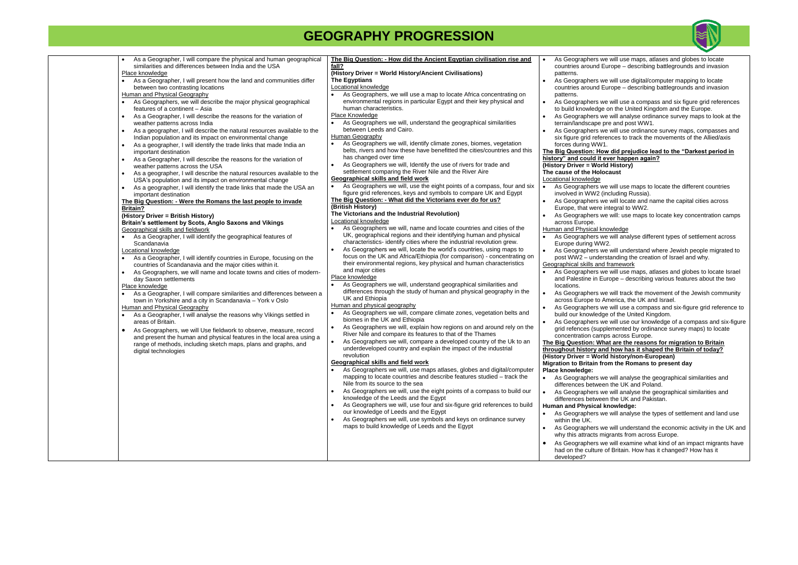| As a Geographer, I will compare the physical and human geographical<br>similarities and differences between India and the USA<br>Place knowledge<br>As a Geographer, I will present how the land and communities differ<br>between two contrasting locations<br>Human and Physical Geography<br>As Geographers, we will describe the major physical geographical<br>features of a continent - Asia<br>As a Geographer, I will describe the reasons for the variation of<br>weather patterns across India<br>As a geographer, I will describe the natural resources available to the<br>$\bullet$<br>Indian population and its impact on environmental change<br>As a geographer, I will identify the trade links that made India an<br>important destination<br>As a Geographer, I will describe the reasons for the variation of<br>weather patterns across the USA<br>As a geographer, I will describe the natural resources available to the<br>USA's population and its impact on environmental change<br>As a geographer, I will identify the trade links that made the USA an<br>important destination<br>The Big Question: - Were the Romans the last people to invade<br><b>Britain?</b><br>(History Driver = British History)<br>Britain's settlement by Scots, Anglo Saxons and Vikings<br>Geographical skills and fieldwork<br>As a Geographer, I will identify the geographical features of<br>Scandanavia<br>Locational knowledge<br>As a Geographer, I will identify countries in Europe, focusing on the<br>countries of Scandanavia and the major cities within it.<br>As Geographers, we will name and locate towns and cities of modern-<br>day Saxon settlements<br>Place knowledge<br>As a Geographer, I will compare similarities and differences between a<br>town in Yorkshire and a city in Scandanavia - York v Oslo<br>Human and Physical Geography<br>As a Geographer, I will analyse the reasons why Vikings settled in<br>areas of Britain.<br>As Geographers, we will Use fieldwork to observe, measure, record<br>$\bullet$<br>and present the human and physical features in the local area using a<br>range of methods, including sketch maps, plans and graphs, and<br>digital technologies | The Big Question: - How did the Ancient Egyptian civilisation rise and<br>fall?<br>(History Driver = World History/Ancient Civilisations)<br><b>The Egyptians</b><br>Locational knowledge<br>As Geographers, we will use a map to locate Africa concentrating on<br>environmental regions in particular Egypt and their key physical and<br>human characteristics.<br>Place Knowledge<br>As Geographers we will, understand the geographical similarities<br>between Leeds and Cairo.<br>Human Geography<br>As Geographers we will, identify climate zones, biomes, vegetation<br>belts, rivers and how these have benefitted the cities/countries and this<br>has changed over time<br>As Geographers we will, Identify the use of rivers for trade and<br>settlement comparing the River Nile and the River Aire<br><b>Geographical skills and field work</b><br>As Geographers we will, use the eight points of a compass, four and six<br>figure grid references, keys and symbols to compare UK and Egypt<br>The Big Question: - What did the Victorians ever do for us?<br>(British History)<br>The Victorians and the Industrial Revolution)<br>Locational knowledge<br>As Geographers we will, name and locate countries and cities of the<br>UK, geographical regions and their identifying human and physical<br>characteristics- identify cities where the industrial revolution grew.<br>As Geographers we will, locate the world's countries, using maps to<br>$\bullet$<br>focus on the UK and Africa/Ethiopia (for comparison) - concentrating on<br>their environmental regions, key physical and human characteristics<br>and major cities<br>Place knowledge<br>As Geographers we will, understand geographical similarities and<br>$\bullet$<br>differences through the study of human and physical geography in the<br>UK and Ethiopia<br>Human and physical geography<br>As Geographers we will, compare climate zones, vegetation belts and<br>$\bullet$<br>biomes in the UK and Ethiopia<br>As Geographers we will, explain how regions on and around rely on the<br>$\bullet$<br>River Nile and compare its features to that of the Thames<br>As Geographers we will, compare a developed country of the Uk to an<br>$\bullet$<br>underdeveloped country and explain the impact of the industrial<br>revolution<br><b>Geographical skills and field work</b><br>As Geographers we will, use maps atlases, globes and digital/computer<br>mapping to locate countries and describe features studied - track the<br>Nile from its source to the sea<br>As Geographers we will, use the eight points of a compass to build our<br>knowledge of the Leeds and the Egypt<br>As Geographers we will, use four and six-figure grid references to build<br>our knowledge of Leeds and the Egypt<br>As Geographers we will, use symbols and keys on ordinance survey<br>maps to build knowledge of Leeds and the Egypt | As Geographers<br>$\bullet$<br>countries around<br>patterns.<br>As Geographers<br>countries around<br>patterns.<br>As Geographers<br>$\bullet$<br>to build knowledg<br>As Geographers<br>$\bullet$<br>terrain/landscape<br>As Geographers<br>six figure grid ref<br>forces during WV<br><b>The Big Question: H</b><br>history" and could it<br>(History Driver = Wo<br>The cause of the Ho<br>Locational knowledge<br>$\bullet$<br>As Geographers<br>involved in WW2<br>As Geographers<br>$\bullet$<br>Europe, that were<br>As Geographers<br>$\bullet$<br>across Europe.<br>Human and Physical<br>As Geographers<br>Europe during W<br>As Geographers<br>$\bullet$<br>post WW2 - und<br>Geographical skills ar<br>As Geographers<br>$\bullet$<br>and Palestine in<br>locations.<br>As Geographers<br>$\bullet$<br>across Europe to<br>As Geographers<br>$\bullet$<br>build our knowled<br>As Geographers<br>grid refences (su<br>concentration car<br>The Big Question: W<br>throughout history a<br>(History Driver = Wo<br>Migration to Britain<br>Place knowledge:<br>As Geographers<br>differences betwe<br>As Geographers<br>$\bullet$<br>differences betwe<br><b>Human and Physica</b><br>As Geographers<br>within the UK.<br>As Geographers<br>$\bullet$ |
|-------------------------------------------------------------------------------------------------------------------------------------------------------------------------------------------------------------------------------------------------------------------------------------------------------------------------------------------------------------------------------------------------------------------------------------------------------------------------------------------------------------------------------------------------------------------------------------------------------------------------------------------------------------------------------------------------------------------------------------------------------------------------------------------------------------------------------------------------------------------------------------------------------------------------------------------------------------------------------------------------------------------------------------------------------------------------------------------------------------------------------------------------------------------------------------------------------------------------------------------------------------------------------------------------------------------------------------------------------------------------------------------------------------------------------------------------------------------------------------------------------------------------------------------------------------------------------------------------------------------------------------------------------------------------------------------------------------------------------------------------------------------------------------------------------------------------------------------------------------------------------------------------------------------------------------------------------------------------------------------------------------------------------------------------------------------------------------------------------------------------------------------------------------------------------------------------------------------------------|---------------------------------------------------------------------------------------------------------------------------------------------------------------------------------------------------------------------------------------------------------------------------------------------------------------------------------------------------------------------------------------------------------------------------------------------------------------------------------------------------------------------------------------------------------------------------------------------------------------------------------------------------------------------------------------------------------------------------------------------------------------------------------------------------------------------------------------------------------------------------------------------------------------------------------------------------------------------------------------------------------------------------------------------------------------------------------------------------------------------------------------------------------------------------------------------------------------------------------------------------------------------------------------------------------------------------------------------------------------------------------------------------------------------------------------------------------------------------------------------------------------------------------------------------------------------------------------------------------------------------------------------------------------------------------------------------------------------------------------------------------------------------------------------------------------------------------------------------------------------------------------------------------------------------------------------------------------------------------------------------------------------------------------------------------------------------------------------------------------------------------------------------------------------------------------------------------------------------------------------------------------------------------------------------------------------------------------------------------------------------------------------------------------------------------------------------------------------------------------------------------------------------------------------------------------------------------------------------------------------------------------------------------------------------------------------------------------------------------------------------------------------------------------------------------------------------------------------------------------------------------------------------------------------------------------|------------------------------------------------------------------------------------------------------------------------------------------------------------------------------------------------------------------------------------------------------------------------------------------------------------------------------------------------------------------------------------------------------------------------------------------------------------------------------------------------------------------------------------------------------------------------------------------------------------------------------------------------------------------------------------------------------------------------------------------------------------------------------------------------------------------------------------------------------------------------------------------------------------------------------------------------------------------------------------------------------------------------------------------------------------------------------------------------------------------------------------------------------------------------------------------------------------------------------------------------------------------|
|                                                                                                                                                                                                                                                                                                                                                                                                                                                                                                                                                                                                                                                                                                                                                                                                                                                                                                                                                                                                                                                                                                                                                                                                                                                                                                                                                                                                                                                                                                                                                                                                                                                                                                                                                                                                                                                                                                                                                                                                                                                                                                                                                                                                                               |                                                                                                                                                                                                                                                                                                                                                                                                                                                                                                                                                                                                                                                                                                                                                                                                                                                                                                                                                                                                                                                                                                                                                                                                                                                                                                                                                                                                                                                                                                                                                                                                                                                                                                                                                                                                                                                                                                                                                                                                                                                                                                                                                                                                                                                                                                                                                                                                                                                                                                                                                                                                                                                                                                                                                                                                                                                                                                                                       | why this attracts<br>As Geographers<br>$\bullet$<br>had on the cultur<br>developed?                                                                                                                                                                                                                                                                                                                                                                                                                                                                                                                                                                                                                                                                                                                                                                                                                                                                                                                                                                                                                                                                                                                                                                              |



s we will use maps, atlases and globes to locate d Europe – describing battlegrounds and invasion

s we will use digital/computer mapping to locate d Europe – describing battlegrounds and invasion

s we will use a compass and six figure grid references dge on the United Kingdom and the Europe.

is we will analyse ordinance survey maps to look at the pe pre and post WW1.

s we will use ordinance survey maps, compasses and eferences to track the movements of the Allied/axis  $/$ W1.

How did prejudice lead to the "Darkest period in **hit ever happen again? (***World History*)

**The caust** 

rs we will use maps to locate the different countries /2 (including Russia).

rs we will locate and name the capital cities across ere integral to WW2.

s we will: use maps to locate key concentration camps

al knowledge

is we will analyse different types of settlement across  $WW2.$ 

s we will understand where Jewish people migrated to derstanding the creation of Israel and why. and framework

s we will use maps, atlases and globes to locate Israel **Europe – describing various features about the two** 

is we will track the movement of the Jewish community to America, the UK and Israel.

rs we will use a compass and six-figure grid reference to edge of the United Kingdom.

s we will use our knowledge of a compass and six-figure supplemented by ordinance survey maps) to locate amps across Europe.

**What are the reasons for migration to Britain the distribution of the Britain of today? (***History/non-European***) n** from the Romans to present day

rs we will analyse the geographical similarities and ween the UK and Poland.

rs we will analyse the geographical similarities and ween the UK and Pakistan.

**Human Buman Brand Brand Brand Brand Brand Brand Brand Brand Brand Brand Brand Brand Brand Brand Brand Brand Brand Brand Brand Brand Brand Brand Brand Brand Brand Brand Brand Brand Brand Brand Brand Brand Brand Brand Brand** 

s we will analyse the types of settlement and land use

s we will understand the economic activity in the UK and migrants from across Europe.

s we will examine what kind of an impact migrants have ure of Britain. How has it changed? How has it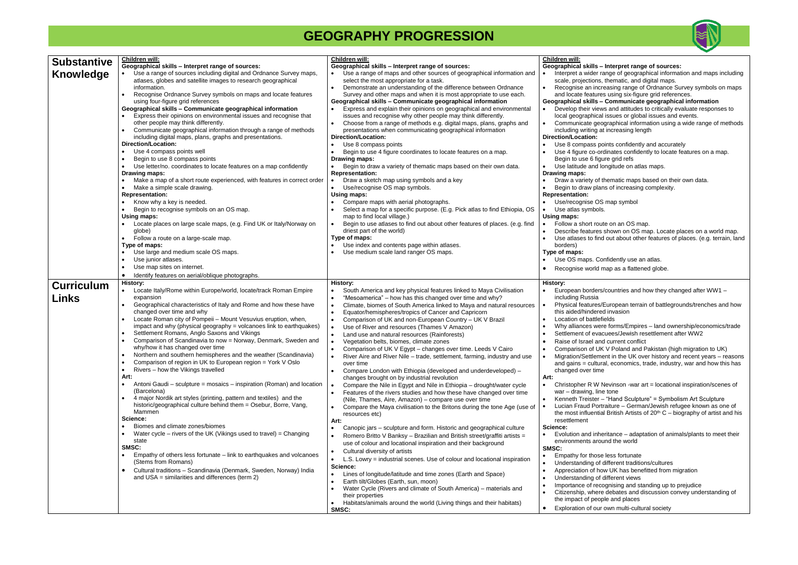| <b>Substantive</b> | <b>Children will:</b>                                                              | Children will:                                                                                            | <b>Children will:</b>                                   |
|--------------------|------------------------------------------------------------------------------------|-----------------------------------------------------------------------------------------------------------|---------------------------------------------------------|
|                    | Geographical skills - Interpret range of sources:                                  | Geographical skills - Interpret range of sources:                                                         | Geographical skills - Interpret r                       |
| Knowledge          | Use a range of sources including digital and Ordnance Survey maps,                 | Use a range of maps and other sources of geographical information and                                     | Interpret a wider range of geo                          |
|                    | atlases, globes and satellite images to research geographical                      | select the most appropriate for a task.                                                                   | scale, projections, thematic, a                         |
|                    | information.                                                                       | Demonstrate an understanding of the difference between Ordnance                                           | Recognise an increasing rang                            |
|                    | Recognise Ordnance Survey symbols on maps and locate features                      | Survey and other maps and when it is most appropriate to use each.                                        | and locate features using six-                          |
|                    | using four-figure grid references                                                  | Geographical skills - Communicate geographical information                                                | Geographical skills - Communi                           |
|                    | Geographical skills - Communicate geographical information                         | Express and explain their opinions on geographical and environmental                                      | Develop their views and attitu                          |
|                    | Express their opinions on environmental issues and recognise that                  | issues and recognise why other people may think differently.                                              | local geographical issues or g                          |
|                    | other people may think differently.                                                | Choose from a range of methods e.g. digital maps, plans, graphs and<br>$\bullet$                          | Communicate geographical in                             |
|                    | Communicate geographical information through a range of methods                    | presentations when communicating geographical information                                                 | including writing at increasing                         |
|                    | including digital maps, plans, graphs and presentations.                           | Direction/Location:                                                                                       | Direction/Location:                                     |
|                    | <b>Direction/Location:</b>                                                         | Use 8 compass points<br>$\bullet$                                                                         | Use 8 compass points confide                            |
|                    | Use 4 compass points well                                                          | Begin to use 4 figure coordinates to locate features on a map.                                            | Use 4 figure co-ordinates con                           |
|                    | Begin to use 8 compass points                                                      | Drawing maps:                                                                                             | Begin to use 6 figure grid refs                         |
|                    | Use letter/no. coordinates to locate features on a map confidently                 | Begin to draw a variety of thematic maps based on their own data.                                         | Use latitude and longitude on                           |
|                    | Drawing maps:                                                                      | <b>Representation:</b>                                                                                    | Drawing maps:                                           |
|                    | Make a map of a short route experienced, with features in correct order            | Draw a sketch map using symbols and a key                                                                 | Draw a variety of thematic ma                           |
|                    | Make a simple scale drawing.                                                       | Use/recognise OS map symbols.<br>Using maps:                                                              | Begin to draw plans of increa<br><b>Representation:</b> |
|                    | <b>Representation:</b><br>Know why a key is needed.                                | Compare maps with aerial photographs.                                                                     | Use/recognise OS map symb                               |
|                    |                                                                                    |                                                                                                           |                                                         |
|                    | Begin to recognise symbols on an OS map.<br>Using maps:                            | Select a map for a specific purpose. (E.g. Pick atlas to find Ethiopia, OS<br>map to find local village.) | Use atlas symbols.                                      |
|                    | Locate places on large scale maps, (e.g. Find UK or Italy/Norway on                | Begin to use atlases to find out about other features of places. (e.g. find<br>$\bullet$                  | Using maps:<br>Follow a short route on an OS            |
|                    | globe)                                                                             | driest part of the world)                                                                                 | Describe features shown on 0                            |
|                    | Follow a route on a large-scale map.                                               | Type of maps:                                                                                             | Use atlases to find out about                           |
|                    | Type of maps:                                                                      | Use index and contents page within atlases.                                                               | borders)                                                |
|                    | Use large and medium scale OS maps.                                                | Use medium scale land ranger OS maps.                                                                     | Type of maps:                                           |
|                    | Use junior atlases.                                                                |                                                                                                           | Use OS maps. Confidently us                             |
|                    | Use map sites on internet.                                                         |                                                                                                           |                                                         |
|                    |                                                                                    |                                                                                                           | Recognise world map as a fla                            |
|                    | Identify features on aerial/oblique photographs.<br><b>History:</b>                | <b>History:</b>                                                                                           | <b>History:</b>                                         |
| <b>Curriculum</b>  | Locate Italy/Rome within Europe/world, locate/track Roman Empire                   | South America and key physical features linked to Maya Civilisation<br>$\bullet$                          | European borders/countries a                            |
| Links              | expansion                                                                          | "Mesoamerica" – how has this changed over time and why?<br>$\bullet$                                      | including Russia                                        |
|                    | Geographical characteristics of Italy and Rome and how these have                  | Climate, biomes of South America linked to Maya and natural resources<br>$\bullet$                        | Physical features/European to                           |
|                    | changed over time and why                                                          | Equator/hemispheres/tropics of Cancer and Capricorn<br>$\bullet$                                          | this aided/hindered invasion                            |
|                    | Locate Roman city of Pompeii - Mount Vesuvius eruption, when,                      | Comparison of UK and non-European Country - UK V Brazil<br>$\bullet$                                      | Location of battlefields                                |
|                    | impact and why (physical geography = volcanoes link to earthquakes)                | Use of River and resources (Thames V Amazon)<br>$\bullet$                                                 | Why alliances were forms/Em                             |
|                    | Settlement Romans, Anglo Saxons and Vikings                                        | Land use and natural resources (Rainforests)<br>$\bullet$                                                 | Settlement of evacuees/Jewis                            |
|                    | Comparison of Scandinavia to now = Norway, Denmark, Sweden and                     | Vegetation belts, biomes, climate zones<br>$\bullet$                                                      | Raise of Israel and current co                          |
|                    | why/how it has changed over time                                                   | Comparison of UK V Egypt - changes over time. Leeds V Cairo<br>$\bullet$                                  | Comparison of UK V Poland a                             |
|                    | Northern and southern hemispheres and the weather (Scandinavia)                    | River Aire and River Nile - trade, settlement, farming, industry and use                                  | Migration/Settlement in the U                           |
|                    | Comparison of region in UK to European region = York V Oslo                        | over time                                                                                                 | and gains = cultural, economi                           |
|                    | Rivers - how the Vikings travelled                                                 | Compare London with Ethiopia (developed and underdeveloped) -                                             | changed over time                                       |
|                    | Art:                                                                               | changes brought on by industrial revolution                                                               | Art:                                                    |
|                    | Antoni Gaudi – sculpture = mosaics – inspiration (Roman) and location<br>$\bullet$ | Compare the Nile in Egypt and Nile in Ethiopia - drought/water cycle<br>$\bullet$                         | Christopher R W Nevinson - w                            |
|                    | (Barcelona)                                                                        | Features of the rivers studies and how these have changed over time<br>$\bullet$                          | war - drawing, line tone                                |
|                    | 4 major Nordik art styles (printing, pattern and textiles) and the                 | (Nile, Thames, Aire, Amazon) - compare use over time                                                      | Kenneth Treister - "Hand Scu                            |
|                    | historic/geographical culture behind them = Osebur, Borre, Vang,                   | Compare the Maya civilisation to the Britons during the tone Age (use of<br>$\bullet$                     | Lucian Fraud Portraiture - Ge                           |
|                    | Mammen                                                                             | resources etc)                                                                                            | the most influential British Art                        |
|                    | Science:                                                                           | Art:                                                                                                      | resettlement                                            |
|                    | Biomes and climate zones/biomes                                                    | Canopic jars - sculpture and form. Historic and geographical culture<br>$\bullet$                         | Science:                                                |
|                    | Water cycle – rivers of the UK (Vikings used to travel) = Changing                 | Romero Britto V Banksy - Brazilian and British street/graffiti artists =<br>$\bullet$                     | Evolution and inheritance - a                           |
|                    | state                                                                              | use of colour and locational inspiration and their background                                             | environments around the wor                             |
|                    | SMSC:                                                                              | Cultural diversity of artists<br>$\bullet$                                                                | SMSC:                                                   |
|                    | Empathy of others less fortunate – link to earthquakes and volcanoes               | L.S. Lowry = industrial scenes. Use of colour and locational inspiration<br>$\bullet$                     | Empathy for those less fortun                           |
|                    | (Stems from Romans)                                                                | Science:                                                                                                  | Understanding of different tra                          |
|                    | Cultural traditions - Scandinavia (Denmark, Sweden, Norway) India<br>$\bullet$     | Lines of longitude/latitude and time zones (Earth and Space)<br>$\bullet$                                 | Appreciation of how UK has b                            |
|                    | and USA = similarities and differences (term $2$ )                                 | Earth tilt/Globes (Earth, sun, moon)                                                                      | Understanding of different vie                          |
|                    |                                                                                    | Water Cycle (Rivers and climate of South America) - materials and<br>$\bullet$                            | Importance of recognising an                            |
|                    |                                                                                    | their properties                                                                                          | Citizenship, where debates a                            |
|                    |                                                                                    | Habitats/animals around the world (Living things and their habitats)                                      | the impact of people and plac                           |
|                    |                                                                                    | SMSC:                                                                                                     | Exploration of our own multi-o                          |



|           | <b>Children will:</b>                                                          |
|-----------|--------------------------------------------------------------------------------|
|           | Geographical skills - Interpret range of sources:                              |
|           | Interpret a wider range of geographical information and maps including         |
|           | scale, projections, thematic, and digital maps.                                |
| ٠         | Recognise an increasing range of Ordnance Survey symbols on maps               |
|           | and locate features using six-figure grid references.                          |
|           | Geographical skills - Communicate geographical information                     |
| $\bullet$ | Develop their views and attitudes to critically evaluate responses to          |
|           | local geographical issues or global issues and events.                         |
| ٠         | Communicate geographical information using a wide range of methods             |
|           | including writing at increasing length                                         |
|           | Direction/Location:                                                            |
| $\bullet$ | Use 8 compass points confidently and accurately                                |
| $\bullet$ | Use 4 figure co-ordinates confidently to locate features on a map.             |
|           | Begin to use 6 figure grid refs                                                |
| ٠         | Use latitude and longitude on atlas maps.<br>Drawing maps:                     |
| $\bullet$ | Draw a variety of thematic maps based on their own data.                       |
| $\bullet$ | Begin to draw plans of increasing complexity.                                  |
|           | <b>Representation:</b>                                                         |
| ٠         | Use/recognise OS map symbol                                                    |
|           | Use atlas symbols.                                                             |
|           | <b>Using maps:</b>                                                             |
| $\bullet$ | Follow a short route on an OS map.                                             |
| $\bullet$ | Describe features shown on OS map. Locate places on a world map.               |
| $\bullet$ | Use atlases to find out about other features of places. (e.g. terrain, land    |
|           | borders)                                                                       |
|           | Type of maps:                                                                  |
|           | Use OS maps. Confidently use an atlas.                                         |
| ٠         | Recognise world map as a flattened globe.                                      |
|           |                                                                                |
|           | <b>History:</b>                                                                |
| $\bullet$ | European borders/countries and how they changed after WW1 -                    |
|           | including Russia                                                               |
| ٠         | Physical features/European terrain of battlegrounds/trenches and how           |
|           | this aided/hindered invasion                                                   |
| ٠         | Location of battlefields                                                       |
| ٠         | Why alliances were forms/Empires - land ownership/economics/trade              |
| ٠         | Settlement of evacuees/Jewish resettlement after WW2                           |
| $\bullet$ | Raise of Israel and current conflict                                           |
| $\bullet$ | Comparison of UK V Poland and Pakistan (high migration to UK)                  |
| ٠         | Migration/Settlement in the UK over history and recent years - reasons         |
|           | and gains = cultural, economics, trade, industry, war and how this has         |
| Art:      | changed over time                                                              |
| $\bullet$ | Christopher R W Nevinson -war art = locational inspiration/scenes of           |
|           | war - drawing, line tone                                                       |
| ٠         | Kenneth Treister - "Hand Sculpture" = Symbolism Art Sculpture                  |
| $\bullet$ | Lucian Fraud Portraiture - German/Jewish refugee known as one of               |
|           | the most influential British Artists of $20th$ C – biography of artist and his |
|           | resettlement                                                                   |
|           | Science:                                                                       |
| $\bullet$ | Evolution and inheritance - adaptation of animals/plants to meet their         |
|           | environments around the world                                                  |
| SMSC:     |                                                                                |
| ٠         | Empathy for those less fortunate                                               |
| ٠         | Understanding of different traditions/cultures                                 |
| ٠         | Appreciation of how UK has benefitted from migration                           |
| ٠         | Understanding of different views                                               |
| ٠         | Importance of recognising and standing up to prejudice                         |
| ٠         | Citizenship, where debates and discussion convey understanding of              |
|           | the impact of people and places                                                |
| ٠         | Exploration of our own multi-cultural society                                  |
|           |                                                                                |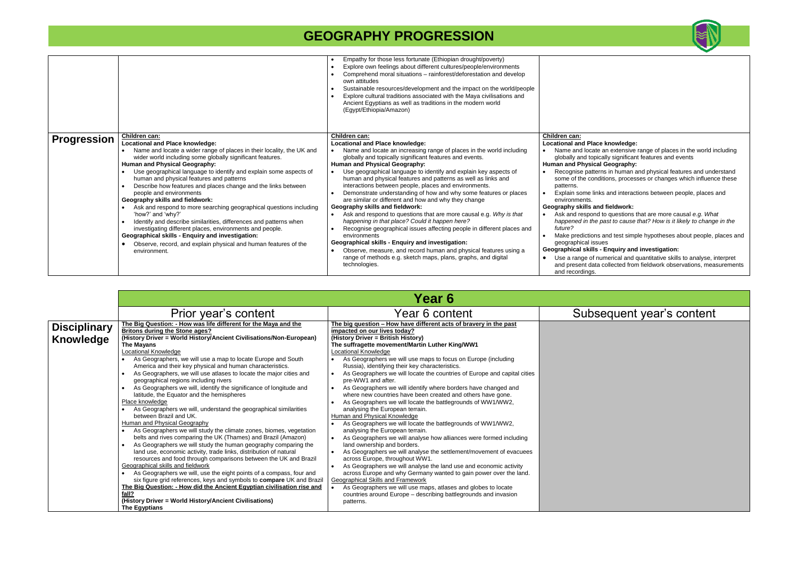• Name and locate an extensive range of places in the world including globally and topically significant features and events  $\epsilon$ ography:

in human and physical features and understand ons, processes or changes which influence these

and interactions between people, places and

#### ieldwork:

questions that are more causal *e.g. What happened in the past to cause that? How is it likely to change in the* 

d test simple hypotheses about people, places and

|                    |                                                                                                                                                                                                                                                                                                                                                                                                                                                                                                                                                                                                                                                                                                                                                                                                                                                                 | Empathy for those less fortunate (Ethiopian drought/poverty)<br>Explore own feelings about different cultures/people/environments<br>Comprehend moral situations – rainforest/deforestation and develop<br>own attitudes<br>Sustainable resources/development and the impact on the world/people<br>Explore cultural traditions associated with the Maya civilisations and<br>Ancient Egyptians as well as traditions in the modern world<br>(Egypt/Ethiopia/Amazon)                                                                                                                                                                                                                                                                                                                                                                                                                                                                                                                                                        |                                                                                                                                                                                                                                                                                                                                                                                                                                                                                  |
|--------------------|-----------------------------------------------------------------------------------------------------------------------------------------------------------------------------------------------------------------------------------------------------------------------------------------------------------------------------------------------------------------------------------------------------------------------------------------------------------------------------------------------------------------------------------------------------------------------------------------------------------------------------------------------------------------------------------------------------------------------------------------------------------------------------------------------------------------------------------------------------------------|-----------------------------------------------------------------------------------------------------------------------------------------------------------------------------------------------------------------------------------------------------------------------------------------------------------------------------------------------------------------------------------------------------------------------------------------------------------------------------------------------------------------------------------------------------------------------------------------------------------------------------------------------------------------------------------------------------------------------------------------------------------------------------------------------------------------------------------------------------------------------------------------------------------------------------------------------------------------------------------------------------------------------------|----------------------------------------------------------------------------------------------------------------------------------------------------------------------------------------------------------------------------------------------------------------------------------------------------------------------------------------------------------------------------------------------------------------------------------------------------------------------------------|
| <b>Progression</b> | <b>Children can:</b><br><b>Locational and Place knowledge:</b><br>Name and locate a wider range of places in their locality, the UK and<br>wider world including some globally significant features.<br><b>Human and Physical Geography:</b><br>Use geographical language to identify and explain some aspects of<br>human and physical features and patterns<br>Describe how features and places change and the links between<br>people and environments<br>Geography skills and fieldwork:<br>Ask and respond to more searching geographical questions including<br>'how?' and 'why?'<br>Identify and describe similarities, differences and patterns when<br>investigating different places, environments and people.<br>Geographical skills - Enquiry and investigation:<br>Observe, record, and explain physical and human features of the<br>environment. | Children can:<br><b>Locational and Place knowledge:</b><br>Name and locate an increasing range of places in the world including<br>globally and topically significant features and events.<br><b>Human and Physical Geography:</b><br>Use geographical language to identify and explain key aspects of<br>human and physical features and patterns as well as links and<br>interactions between people, places and environments.<br>Demonstrate understanding of how and why some features or places<br>are similar or different and how and why they change<br>Geography skills and fieldwork:<br>Ask and respond to questions that are more causal e.g. Why is that<br>happening in that place? Could it happen here?<br>Recognise geographical issues affecting people in different places and<br>environments<br>Geographical skills - Enquiry and investigation:<br>Observe, measure, and record human and physical features using a<br>range of methods e.g. sketch maps, plans, graphs, and digital<br>technologies. | Children can:<br><b>Locational and Place kr</b><br>Name and locate an<br>globally and topically<br><b>Human and Physical Ge</b><br>Recognise patterns i<br>some of the condition<br>patterns.<br>Explain some links a<br>environments.<br>Geography skills and fi-<br>Ask and respond to o<br>happened in the pas<br>future?<br>Make predictions and<br>geographical issues<br><b>Geographical skills - Er</b><br>Use a range of nume<br>and present data col<br>and recordings. |

### **Geographical skills - Enquiry and investigation:**

erical and quantitative skills to analyse, interpret llected from fieldwork observations, measurements

### sequent year's content

|                                         |                                                                                                                                                                                                                                                                                                                                                                                                                                                                                                                                                                                                                                                                                                                                                                                                                                                                                                                                                                                                                                                                                 | Year 6                                                                                                                                                                                                                                                                                                                                                                                                                                                                                                                                                                                                                                                                                                                                                                                                                                                                                                                                                                                                       |      |
|-----------------------------------------|---------------------------------------------------------------------------------------------------------------------------------------------------------------------------------------------------------------------------------------------------------------------------------------------------------------------------------------------------------------------------------------------------------------------------------------------------------------------------------------------------------------------------------------------------------------------------------------------------------------------------------------------------------------------------------------------------------------------------------------------------------------------------------------------------------------------------------------------------------------------------------------------------------------------------------------------------------------------------------------------------------------------------------------------------------------------------------|--------------------------------------------------------------------------------------------------------------------------------------------------------------------------------------------------------------------------------------------------------------------------------------------------------------------------------------------------------------------------------------------------------------------------------------------------------------------------------------------------------------------------------------------------------------------------------------------------------------------------------------------------------------------------------------------------------------------------------------------------------------------------------------------------------------------------------------------------------------------------------------------------------------------------------------------------------------------------------------------------------------|------|
|                                         | Prior year's content                                                                                                                                                                                                                                                                                                                                                                                                                                                                                                                                                                                                                                                                                                                                                                                                                                                                                                                                                                                                                                                            | Year 6 content                                                                                                                                                                                                                                                                                                                                                                                                                                                                                                                                                                                                                                                                                                                                                                                                                                                                                                                                                                                               | Subs |
| <b>Disciplinary</b><br><b>Knowledge</b> | The Big Question: - How was life different for the Maya and the<br><b>Britons during the Stone ages?</b><br>(History Driver = World History/Ancient Civilisations/Non-European)<br><b>The Mayans</b><br><b>Locational Knowledge</b><br>As Geographers, we will use a map to locate Europe and South<br>America and their key physical and human characteristics.<br>As Geographers, we will use atlases to locate the major cities and<br>$\bullet$<br>geographical regions including rivers<br>As Geographers we will, identify the significance of longitude and<br>$\bullet$<br>latitude, the Equator and the hemispheres<br>Place knowledge<br>As Geographers we will, understand the geographical similarities<br>between Brazil and UK.<br><b>Human and Physical Geography</b><br>As Geographers we will study the climate zones, biomes, vegetation<br>belts and rives comparing the UK (Thames) and Brazil (Amazon)<br>As Geographers we will study the human geography comparing the<br>$\bullet$<br>land use, economic activity, trade links, distribution of natural | The big question - How have different acts of bravery in the past<br>impacted on our lives today?<br>(History Driver = British History)<br>The suffragette movement/Martin Luther King/WW1<br><b>Locational Knowledge</b><br>As Geographers we will use maps to focus on Europe (including<br>Russia), identifying their key characteristics.<br>As Geographers we will locate the countries of Europe and capital cities<br>pre-WW1 and after.<br>As Geographers we will identify where borders have changed and<br>where new countries have been created and others have gone.<br>As Geographers we will locate the battlegrounds of WW1/WW2,<br>analysing the European terrain.<br>Human and Physical Knowledge<br>As Geographers we will locate the battlegrounds of WW1/WW2,<br>$\bullet$<br>analysing the European terrain.<br>As Geographers we will analyse how alliances were formed including<br>land ownership and borders.<br>As Geographers we will analyse the settlement/movement of evacuees |      |
|                                         | resources and food through comparisons between the UK and Brazil<br>Geographical skills and fieldwork<br>As Geographers we will, use the eight points of a compass, four and<br>six figure grid references, keys and symbols to compare UK and Brazil<br>The Big Question: - How did the Ancient Egyptian civilisation rise and<br>fall?<br>(History Driver = World History/Ancient Civilisations)<br><b>The Egyptians</b>                                                                                                                                                                                                                                                                                                                                                                                                                                                                                                                                                                                                                                                      | across Europe, throughout WW1.<br>As Geographers we will analyse the land use and economic activity<br>across Europe and why Germany wanted to gain power over the land.<br>Geographical Skills and Framework<br>As Geographers we will use maps, atlases and globes to locate<br>countries around Europe - describing battlegrounds and invasion<br>patterns.                                                                                                                                                                                                                                                                                                                                                                                                                                                                                                                                                                                                                                               |      |



### **nowledge:**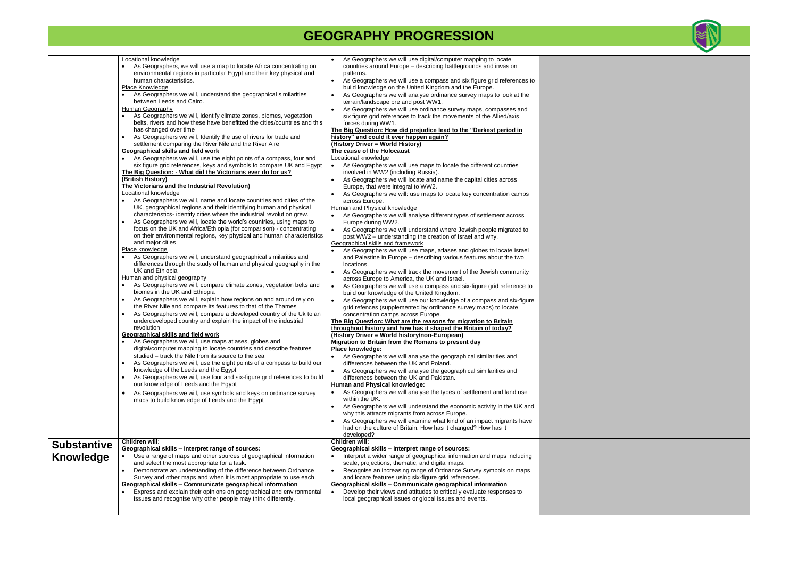|                    | Locational knowledge<br>As Geographers, we will use a map to locate Africa concentrating on<br>environmental regions in particular Egypt and their key physical and<br>human characteristics.<br>Place Knowledge<br>As Geographers we will, understand the geographical similarities<br>between Leeds and Cairo.<br>Human Geography<br>As Geographers we will, identify climate zones, biomes, vegetation<br>belts, rivers and how these have benefitted the cities/countries and this<br>has changed over time<br>As Geographers we will, Identify the use of rivers for trade and<br>$\bullet$<br>settlement comparing the River Nile and the River Aire<br><b>Geographical skills and field work</b><br>As Geographers we will, use the eight points of a compass, four and<br>six figure grid references, keys and symbols to compare UK and Egypt<br>The Big Question: - What did the Victorians ever do for us?<br>(British History)<br>The Victorians and the Industrial Revolution)<br><b>Locational knowledge</b><br>As Geographers we will, name and locate countries and cities of the<br>UK, geographical regions and their identifying human and physical<br>characteristics- identify cities where the industrial revolution grew.<br>As Geographers we will, locate the world's countries, using maps to<br>$\bullet$<br>focus on the UK and Africa/Ethiopia (for comparison) - concentrating<br>on their environmental regions, key physical and human characteristics<br>and major cities<br>Place knowledge<br>As Geographers we will, understand geographical similarities and<br>differences through the study of human and physical geography in the<br>UK and Ethiopia<br>Human and physical geography<br>As Geographers we will, compare climate zones, vegetation belts and<br>biomes in the UK and Ethiopia<br>As Geographers we will, explain how regions on and around rely on<br>the River Nile and compare its features to that of the Thames<br>As Geographers we will, compare a developed country of the Uk to an<br>underdeveloped country and explain the impact of the industrial<br>revolution<br><b>Geographical skills and field work</b><br>As Geographers we will, use maps atlases, globes and<br>digital/computer mapping to locate countries and describe features<br>studied – track the Nile from its source to the sea<br>As Geographers we will, use the eight points of a compass to build our<br>knowledge of the Leeds and the Egypt<br>As Geographers we will, use four and six-figure grid references to build<br>$\bullet$<br>our knowledge of Leeds and the Egypt<br>As Geographers we will, use symbols and keys on ordinance survey<br>$\bullet$<br>maps to build knowledge of Leeds and the Egypt | As Geographers we will use digital/computer mapping to locate<br>countries around Europe - describing battlegrounds and invasion<br>patterns.<br>As Geographers we will use a compass and six figure grid references to<br>$\bullet$<br>build knowledge on the United Kingdom and the Europe.<br>As Geographers we will analyse ordinance survey maps to look at the<br>$\bullet$<br>terrain/landscape pre and post WW1.<br>As Geographers we will use ordinance survey maps, compasses and<br>six figure grid references to track the movements of the Allied/axis<br>forces during WW1.<br>The Big Question: How did prejudice lead to the "Darkest period in<br>history" and could it ever happen again?<br>(History Driver = World History)<br>The cause of the Holocaust<br>Locational knowledge<br>As Geographers we will use maps to locate the different countries<br>$\bullet$<br>involved in WW2 (including Russia).<br>As Geographers we will locate and name the capital cities across<br>Europe, that were integral to WW2.<br>As Geographers we will: use maps to locate key concentration camps<br>across Europe.<br>Human and Physical knowledge<br>As Geographers we will analyse different types of settlement across<br>Europe during WW2.<br>As Geographers we will understand where Jewish people migrated to<br>$\bullet$<br>post WW2 - understanding the creation of Israel and why.<br>Geographical skills and framework<br>As Geographers we will use maps, atlases and globes to locate Israel<br>and Palestine in Europe - describing various features about the two<br>locations.<br>As Geographers we will track the movement of the Jewish community<br>$\bullet$<br>across Europe to America, the UK and Israel.<br>As Geographers we will use a compass and six-figure grid reference to<br>$\bullet$<br>build our knowledge of the United Kingdom.<br>As Geographers we will use our knowledge of a compass and six-figure<br>grid refences (supplemented by ordinance survey maps) to locate<br>concentration camps across Europe.<br>The Big Question: What are the reasons for migration to Britain<br>throughout history and how has it shaped the Britain of today?<br>(History Driver = World history/non-European)<br>Migration to Britain from the Romans to present day<br>Place knowledge:<br>As Geographers we will analyse the geographical similarities and<br>differences between the UK and Poland.<br>As Geographers we will analyse the geographical similarities and<br>$\bullet$<br>differences between the UK and Pakistan.<br>Human and Physical knowledge:<br>As Geographers we will analyse the types of settlement and land use<br>within the UK.<br>As Geographers we will understand the economic activity in the UK and<br>$\bullet$<br>why this attracts migrants from across Europe. |  |
|--------------------|------------------------------------------------------------------------------------------------------------------------------------------------------------------------------------------------------------------------------------------------------------------------------------------------------------------------------------------------------------------------------------------------------------------------------------------------------------------------------------------------------------------------------------------------------------------------------------------------------------------------------------------------------------------------------------------------------------------------------------------------------------------------------------------------------------------------------------------------------------------------------------------------------------------------------------------------------------------------------------------------------------------------------------------------------------------------------------------------------------------------------------------------------------------------------------------------------------------------------------------------------------------------------------------------------------------------------------------------------------------------------------------------------------------------------------------------------------------------------------------------------------------------------------------------------------------------------------------------------------------------------------------------------------------------------------------------------------------------------------------------------------------------------------------------------------------------------------------------------------------------------------------------------------------------------------------------------------------------------------------------------------------------------------------------------------------------------------------------------------------------------------------------------------------------------------------------------------------------------------------------------------------------------------------------------------------------------------------------------------------------------------------------------------------------------------------------------------------------------------------------------------------------------------------------------------------------------------------------------------------------------------------------------------------------------------------------------------------------------------------------------------|----------------------------------------------------------------------------------------------------------------------------------------------------------------------------------------------------------------------------------------------------------------------------------------------------------------------------------------------------------------------------------------------------------------------------------------------------------------------------------------------------------------------------------------------------------------------------------------------------------------------------------------------------------------------------------------------------------------------------------------------------------------------------------------------------------------------------------------------------------------------------------------------------------------------------------------------------------------------------------------------------------------------------------------------------------------------------------------------------------------------------------------------------------------------------------------------------------------------------------------------------------------------------------------------------------------------------------------------------------------------------------------------------------------------------------------------------------------------------------------------------------------------------------------------------------------------------------------------------------------------------------------------------------------------------------------------------------------------------------------------------------------------------------------------------------------------------------------------------------------------------------------------------------------------------------------------------------------------------------------------------------------------------------------------------------------------------------------------------------------------------------------------------------------------------------------------------------------------------------------------------------------------------------------------------------------------------------------------------------------------------------------------------------------------------------------------------------------------------------------------------------------------------------------------------------------------------------------------------------------------------------------------------------------------------------------------------------------------------------------------------------------------------------------------------------------------------------------------------|--|
|                    |                                                                                                                                                                                                                                                                                                                                                                                                                                                                                                                                                                                                                                                                                                                                                                                                                                                                                                                                                                                                                                                                                                                                                                                                                                                                                                                                                                                                                                                                                                                                                                                                                                                                                                                                                                                                                                                                                                                                                                                                                                                                                                                                                                                                                                                                                                                                                                                                                                                                                                                                                                                                                                                                                                                                                            | As Geographers we will examine what kind of an impact migrants have<br>$\bullet$<br>had on the culture of Britain. How has it changed? How has it<br>developed?                                                                                                                                                                                                                                                                                                                                                                                                                                                                                                                                                                                                                                                                                                                                                                                                                                                                                                                                                                                                                                                                                                                                                                                                                                                                                                                                                                                                                                                                                                                                                                                                                                                                                                                                                                                                                                                                                                                                                                                                                                                                                                                                                                                                                                                                                                                                                                                                                                                                                                                                                                                                                                                                                    |  |
| <b>Substantive</b> | Children will:                                                                                                                                                                                                                                                                                                                                                                                                                                                                                                                                                                                                                                                                                                                                                                                                                                                                                                                                                                                                                                                                                                                                                                                                                                                                                                                                                                                                                                                                                                                                                                                                                                                                                                                                                                                                                                                                                                                                                                                                                                                                                                                                                                                                                                                                                                                                                                                                                                                                                                                                                                                                                                                                                                                                             | Children will:                                                                                                                                                                                                                                                                                                                                                                                                                                                                                                                                                                                                                                                                                                                                                                                                                                                                                                                                                                                                                                                                                                                                                                                                                                                                                                                                                                                                                                                                                                                                                                                                                                                                                                                                                                                                                                                                                                                                                                                                                                                                                                                                                                                                                                                                                                                                                                                                                                                                                                                                                                                                                                                                                                                                                                                                                                     |  |
| <b>Knowledge</b>   | Geographical skills - Interpret range of sources:<br>Use a range of maps and other sources of geographical information<br>and select the most appropriate for a task.<br>Demonstrate an understanding of the difference between Ordnance<br>Survey and other maps and when it is most appropriate to use each.<br>Geographical skills - Communicate geographical information<br>Express and explain their opinions on geographical and environmental<br>issues and recognise why other people may think differently.                                                                                                                                                                                                                                                                                                                                                                                                                                                                                                                                                                                                                                                                                                                                                                                                                                                                                                                                                                                                                                                                                                                                                                                                                                                                                                                                                                                                                                                                                                                                                                                                                                                                                                                                                                                                                                                                                                                                                                                                                                                                                                                                                                                                                                       | Geographical skills - Interpret range of sources:<br>Interpret a wider range of geographical information and maps including<br>scale, projections, thematic, and digital maps.<br>Recognise an increasing range of Ordnance Survey symbols on maps<br>$\bullet$<br>and locate features using six-figure grid references.<br>Geographical skills - Communicate geographical information<br>Develop their views and attitudes to critically evaluate responses to<br>local geographical issues or global issues and events.                                                                                                                                                                                                                                                                                                                                                                                                                                                                                                                                                                                                                                                                                                                                                                                                                                                                                                                                                                                                                                                                                                                                                                                                                                                                                                                                                                                                                                                                                                                                                                                                                                                                                                                                                                                                                                                                                                                                                                                                                                                                                                                                                                                                                                                                                                                          |  |

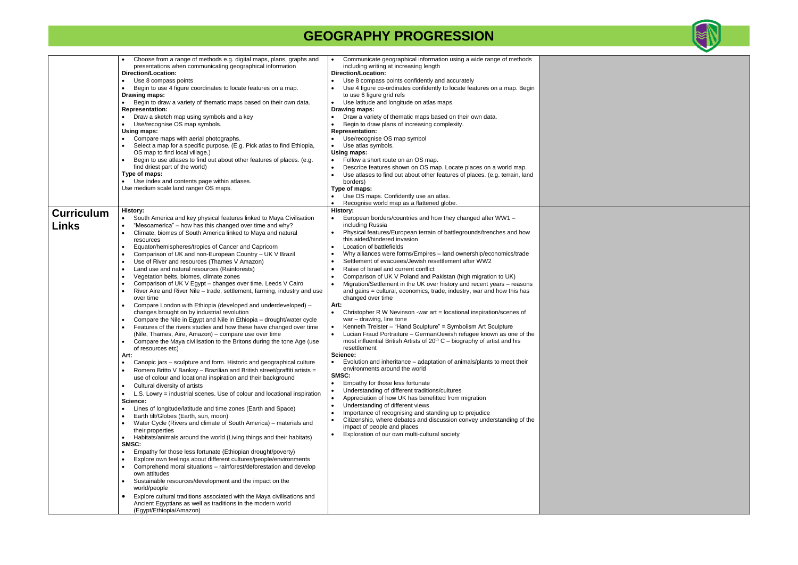|                   | Choose from a range of methods e.g. digital maps, plans, graphs and<br>presentations when communicating geographical information<br>Direction/Location:<br>Use 8 compass points<br>$\bullet$<br>Begin to use 4 figure coordinates to locate features on a map.<br>$\bullet$<br>Drawing maps:<br>Begin to draw a variety of thematic maps based on their own data.<br>$\bullet$<br><b>Representation:</b><br>Draw a sketch map using symbols and a key<br>$\bullet$<br>Use/recognise OS map symbols.<br>$\bullet$<br>Using maps:<br>Compare maps with aerial photographs.<br>Select a map for a specific purpose. (E.g. Pick atlas to find Ethiopia,<br>OS map to find local village.)<br>Begin to use atlases to find out about other features of places. (e.g.<br>find driest part of the world)<br>Type of maps:                                                                                                                                                                                                                                                                                                                                                                                                                                          | Communicate geographical information using a wide range of methods<br>including writing at increasing length<br>Direction/Location:<br>Use 8 compass points confidently and accurately<br>Use 4 figure co-ordinates confidently to locate features on a map. Begin<br>to use 6 figure grid refs<br>Use latitude and longitude on atlas maps.<br>Drawing maps:<br>Draw a variety of thematic maps based on their own data.<br>Begin to draw plans of increasing complexity.<br><b>Representation:</b><br>Use/recognise OS map symbol<br>Use atlas symbols.<br>$\bullet$<br>Using maps:<br>Follow a short route on an OS map.<br>Describe features shown on OS map. Locate places on a world map.<br>Use atlases to find out about other features of places. (e.g. terrain, land                                                                                                                                                                               |  |
|-------------------|-------------------------------------------------------------------------------------------------------------------------------------------------------------------------------------------------------------------------------------------------------------------------------------------------------------------------------------------------------------------------------------------------------------------------------------------------------------------------------------------------------------------------------------------------------------------------------------------------------------------------------------------------------------------------------------------------------------------------------------------------------------------------------------------------------------------------------------------------------------------------------------------------------------------------------------------------------------------------------------------------------------------------------------------------------------------------------------------------------------------------------------------------------------------------------------------------------------------------------------------------------------|--------------------------------------------------------------------------------------------------------------------------------------------------------------------------------------------------------------------------------------------------------------------------------------------------------------------------------------------------------------------------------------------------------------------------------------------------------------------------------------------------------------------------------------------------------------------------------------------------------------------------------------------------------------------------------------------------------------------------------------------------------------------------------------------------------------------------------------------------------------------------------------------------------------------------------------------------------------|--|
|                   | Use index and contents page within atlases.<br>$\bullet$<br>Use medium scale land ranger OS maps.                                                                                                                                                                                                                                                                                                                                                                                                                                                                                                                                                                                                                                                                                                                                                                                                                                                                                                                                                                                                                                                                                                                                                           | borders)<br>Type of maps:                                                                                                                                                                                                                                                                                                                                                                                                                                                                                                                                                                                                                                                                                                                                                                                                                                                                                                                                    |  |
|                   |                                                                                                                                                                                                                                                                                                                                                                                                                                                                                                                                                                                                                                                                                                                                                                                                                                                                                                                                                                                                                                                                                                                                                                                                                                                             | Use OS maps. Confidently use an atlas.<br>Recognise world map as a flattened globe.                                                                                                                                                                                                                                                                                                                                                                                                                                                                                                                                                                                                                                                                                                                                                                                                                                                                          |  |
| <b>Curriculum</b> | <b>History:</b><br>South America and key physical features linked to Maya Civilisation                                                                                                                                                                                                                                                                                                                                                                                                                                                                                                                                                                                                                                                                                                                                                                                                                                                                                                                                                                                                                                                                                                                                                                      | History:<br>European borders/countries and how they changed after WW1 -                                                                                                                                                                                                                                                                                                                                                                                                                                                                                                                                                                                                                                                                                                                                                                                                                                                                                      |  |
| <b>Links</b>      | "Mesoamerica" - how has this changed over time and why?<br>Climate, biomes of South America linked to Maya and natural<br>$\bullet$<br>resources<br>Equator/hemispheres/tropics of Cancer and Capricorn<br>$\bullet$<br>Comparison of UK and non-European Country - UK V Brazil<br>$\bullet$<br>Use of River and resources (Thames V Amazon)<br>$\bullet$<br>Land use and natural resources (Rainforests)<br>$\bullet$<br>Vegetation belts, biomes, climate zones<br>$\bullet$<br>Comparison of UK V Egypt - changes over time. Leeds V Cairo<br>$\bullet$<br>River Aire and River Nile - trade, settlement, farming, industry and use<br>$\bullet$<br>over time<br>Compare London with Ethiopia (developed and underdeveloped) -<br>$\bullet$<br>changes brought on by industrial revolution<br>Compare the Nile in Egypt and Nile in Ethiopia - drought/water cycle<br>$\bullet$<br>Features of the rivers studies and how these have changed over time<br>$\bullet$<br>(Nile, Thames, Aire, Amazon) - compare use over time<br>Compare the Maya civilisation to the Britons during the tone Age (use<br>of resources etc)<br>Art:                                                                                                                        | including Russia<br>Physical features/European terrain of battlegrounds/trenches and how<br>this aided/hindered invasion<br>Location of battlefields<br>Why alliances were forms/Empires - land ownership/economics/trade<br>Settlement of evacuees/Jewish resettlement after WW2<br>Raise of Israel and current conflict<br>Comparison of UK V Poland and Pakistan (high migration to UK)<br>Migration/Settlement in the UK over history and recent years - reasons<br>and gains = cultural, economics, trade, industry, war and how this has<br>changed over time<br>Art:<br>Christopher R W Nevinson -war art = locational inspiration/scenes of<br>$\bullet$<br>war - drawing, line tone<br>Kenneth Treister - "Hand Sculpture" = Symbolism Art Sculpture<br>$\bullet$<br>Lucian Fraud Portraiture - German/Jewish refugee known as one of the<br>most influential British Artists of $20th$ C – biography of artist and his<br>resettlement<br>Science: |  |
|                   | Canopic jars - sculpture and form. Historic and geographical culture<br>$\bullet$<br>Romero Britto V Banksy - Brazilian and British street/graffiti artists =<br>$\bullet$<br>use of colour and locational inspiration and their background<br>Cultural diversity of artists<br>$\bullet$<br>L.S. Lowry = industrial scenes. Use of colour and locational inspiration<br>$\bullet$<br>Science:<br>Lines of longitude/latitude and time zones (Earth and Space)<br>٠<br>Earth tilt/Globes (Earth, sun, moon)<br>Water Cycle (Rivers and climate of South America) – materials and<br>$\bullet$<br>their properties<br>Habitats/animals around the world (Living things and their habitats)<br>$\bullet$<br>SMSC:<br>Empathy for those less fortunate (Ethiopian drought/poverty)<br>$\bullet$<br>Explore own feelings about different cultures/people/environments<br>$\bullet$<br>Comprehend moral situations - rainforest/deforestation and develop<br>$\bullet$<br>own attitudes<br>Sustainable resources/development and the impact on the<br>$\bullet$<br>world/people<br>Explore cultural traditions associated with the Maya civilisations and<br>$\bullet$<br>Ancient Egyptians as well as traditions in the modern world<br>(Egypt/Ethiopia/Amazon) | Evolution and inheritance – adaptation of animals/plants to meet their<br>environments around the world<br>SMSC:<br>Empathy for those less fortunate<br>Understanding of different traditions/cultures<br>Appreciation of how UK has benefitted from migration<br>Understanding of different views<br>Importance of recognising and standing up to prejudice<br>Citizenship, where debates and discussion convey understanding of the<br>impact of people and places<br>Exploration of our own multi-cultural society                                                                                                                                                                                                                                                                                                                                                                                                                                        |  |

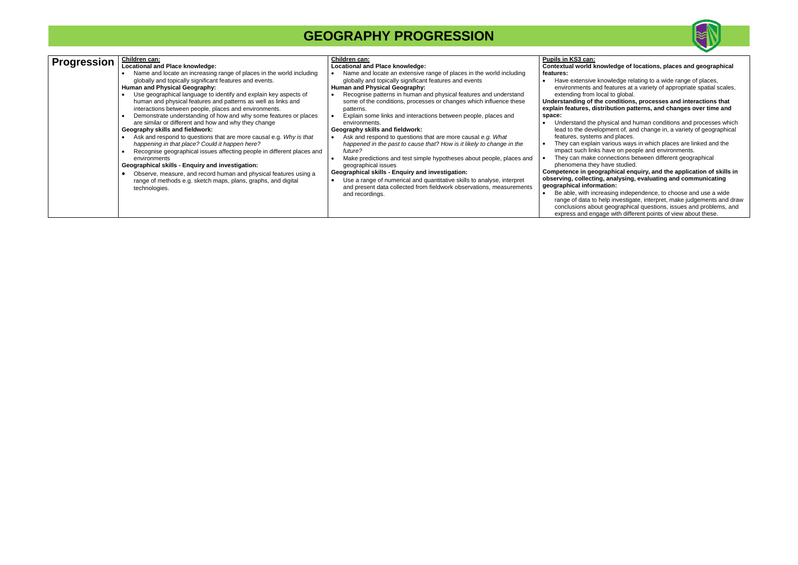|                    | Locational and Place knowledge:                                                                                                                                                                                                                                                                                                                                                                                                                                                                                                                                                                                                                                                                                                                                  | Locational and Place knowledge:                                                                                                                                                                                                                                                                                                                                                                                                                                                                                                                                                                                                                                                         | <b>Contextual world kno</b>                                                                                                                                                                                                                                                                   |
|--------------------|------------------------------------------------------------------------------------------------------------------------------------------------------------------------------------------------------------------------------------------------------------------------------------------------------------------------------------------------------------------------------------------------------------------------------------------------------------------------------------------------------------------------------------------------------------------------------------------------------------------------------------------------------------------------------------------------------------------------------------------------------------------|-----------------------------------------------------------------------------------------------------------------------------------------------------------------------------------------------------------------------------------------------------------------------------------------------------------------------------------------------------------------------------------------------------------------------------------------------------------------------------------------------------------------------------------------------------------------------------------------------------------------------------------------------------------------------------------------|-----------------------------------------------------------------------------------------------------------------------------------------------------------------------------------------------------------------------------------------------------------------------------------------------|
| <b>Progression</b> | Children can:<br>Name and locate an increasing range of places in the world including<br>globally and topically significant features and events.<br>Human and Physical Geography:<br>Use geographical language to identify and explain key aspects of<br>human and physical features and patterns as well as links and<br>interactions between people, places and environments.<br>Demonstrate understanding of how and why some features or places<br>are similar or different and how and why they change<br>Geography skills and fieldwork:<br>Ask and respond to questions that are more causal e.g. Why is that<br>happening in that place? Could it happen here?<br>Recognise geographical issues affecting people in different places and<br>environments | Children can:<br>Name and locate an extensive range of places in the world including<br>globally and topically significant features and events<br>Human and Physical Geography:<br>Recognise patterns in human and physical features and understand<br>some of the conditions, processes or changes which influence these<br>patterns.<br>Explain some links and interactions between people, places and<br>environments.<br>Geography skills and fieldwork:<br>Ask and respond to questions that are more causal e.g. What<br>happened in the past to cause that? How is it likely to change in the<br>future?<br>Make predictions and test simple hypotheses about people, places and | Pupils in KS3 can:<br>features:<br>Have extensive kn<br>environments and<br>extending from loc<br>Understanding of the<br>explain features, disti<br>space:<br>Understand the ph<br>lead to the develop<br>features, systems<br>They can explain v<br>impact such links h<br>They can make co |
|                    | Geographical skills - Enguiry and investigation:<br>Observe, measure, and record human and physical features using a<br>range of methods e.g. sketch maps, plans, graphs, and digital<br>technologies.                                                                                                                                                                                                                                                                                                                                                                                                                                                                                                                                                           | geographical issues<br>Geographical skills - Enquiry and investigation:<br>Use a range of numerical and quantitative skills to analyse, interpret<br>$\bullet$<br>and present data collected from fieldwork observations, measurements<br>and recordings.                                                                                                                                                                                                                                                                                                                                                                                                                               | phenomena they h<br>Competence in geogr<br>observing, collecting,<br>geographical informa<br>Be able, with incre<br>range of data to he<br>conclusions about<br>express and engag                                                                                                             |



easing independence, to choose and use a wide elp investigate, interpret, make judgements and draw conclusions about geographical questions, issues and problems, and express and engage with different points of view about these.

### **Contextual world knowledge of locations, places and geographical**

howledge relating to a wide range of places, features at a variety of appropriate spatial scales, cal to global.

#### **Understanding of the conditions, processes and interactions that explain features, distribution patterns, and changes over time and**

hysical and human conditions and processes which pment of, and change in, a variety of geographical  $\overline{\phantom{a}}$  and places.

various ways in which places are linked and the have on people and environments.

onnections between different geographical have studied.

#### **Competence in geographical enquiry, and the application of skills in observing, collecting, analysing, evaluating and communicating geographical information:**